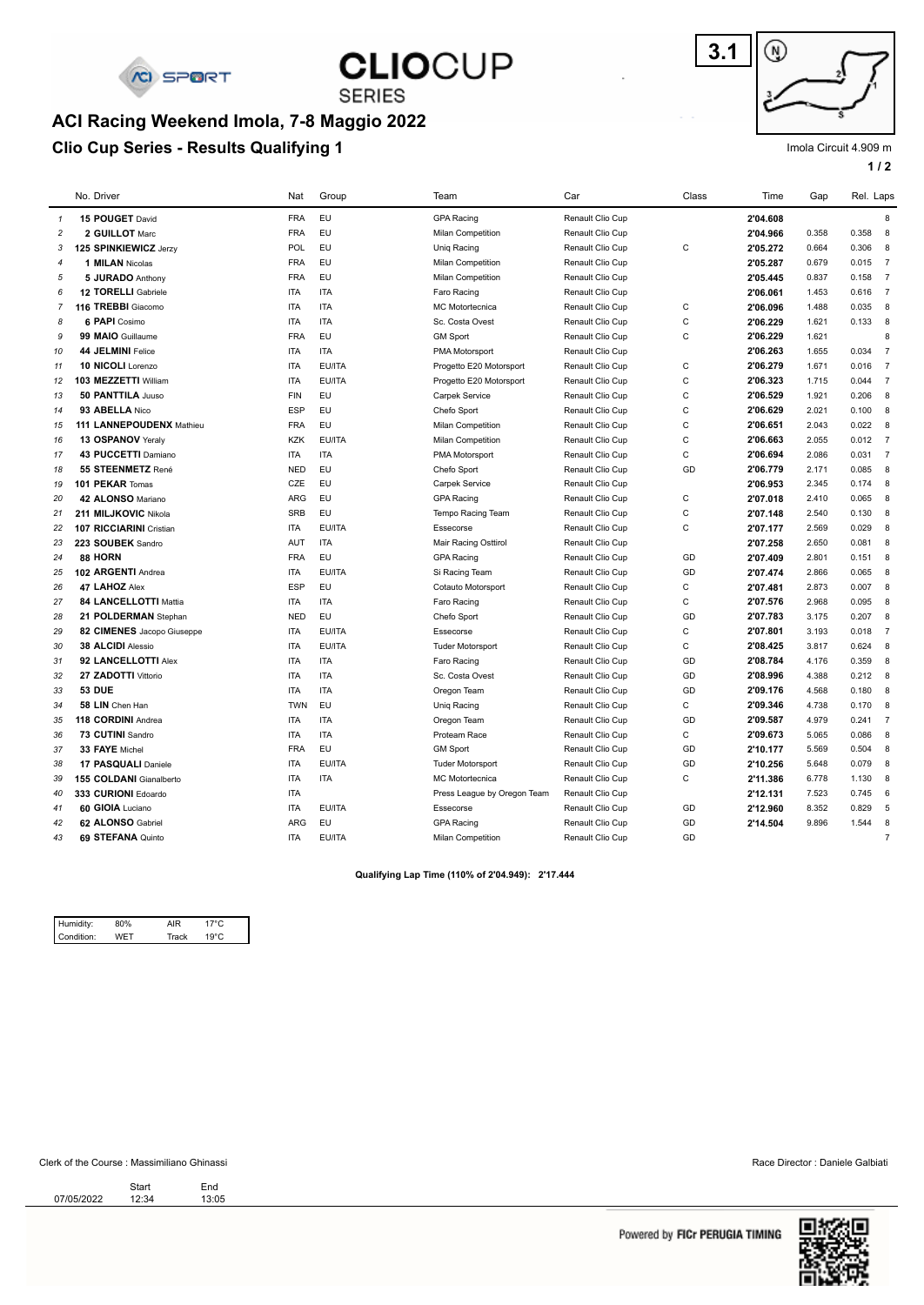

**SERIES** 

### **Clio Cup Series - Results Qualifying 1 ACI Racing Weekend Imola, 7-8 Maggio 2022**



Imola Circuit 4.909 m

**1 / 2**

|                | No. Driver                     | Nat        | Group      | Team                        | Car              | Class        | Time     | Gap   | Rel. Laps |                |
|----------------|--------------------------------|------------|------------|-----------------------------|------------------|--------------|----------|-------|-----------|----------------|
| $\mathbf{1}$   | 15 POUGET David                | <b>FRA</b> | <b>EU</b>  | <b>GPA Racing</b>           | Renault Clio Cup |              | 2'04.608 |       |           | 8              |
| $\overline{c}$ | 2 GUILLOT Marc                 | <b>FRA</b> | <b>EU</b>  | Milan Competition           | Renault Clio Cup |              | 2'04.966 | 0.358 | 0.358     | 8              |
| 3              | 125 SPINKIEWICZ Jerzy          | POL        | <b>EU</b>  | Uniq Racing                 | Renault Clio Cup | $\mathsf C$  | 2'05.272 | 0.664 | 0.306     | 8              |
| $\overline{4}$ | 1 MILAN Nicolas                | <b>FRA</b> | EU         | Milan Competition           | Renault Clio Cup |              | 2'05.287 | 0.679 | 0.015     | $\overline{7}$ |
| 5              | 5 JURADO Anthony               | <b>FRA</b> | <b>EU</b>  | Milan Competition           | Renault Clio Cup |              | 2'05.445 | 0.837 | 0.158     | $\overline{7}$ |
| 6              | 12 TORELLI Gabriele            | <b>ITA</b> | <b>ITA</b> | Faro Racing                 | Renault Clio Cup |              | 2'06.061 | 1.453 | 0.616     | $\overline{7}$ |
| $\overline{7}$ | 116 TREBBI Giacomo             | <b>ITA</b> | <b>ITA</b> | <b>MC Motortecnica</b>      | Renault Clio Cup | $\mathsf C$  | 2'06.096 | 1.488 | 0.035     | 8              |
| 8              | 6 PAPI Cosimo                  | <b>ITA</b> | <b>ITA</b> | Sc. Costa Ovest             | Renault Clio Cup | $\mathsf C$  | 2'06.229 | 1.621 | 0.133     | 8              |
| 9              | 99 MAIO Guillaume              | <b>FRA</b> | <b>EU</b>  | <b>GM Sport</b>             | Renault Clio Cup | $\mathbf C$  | 2'06.229 | 1.621 |           | 8              |
| 10             | 44 JELMINI Felice              | <b>ITA</b> | <b>ITA</b> | <b>PMA Motorsport</b>       | Renault Clio Cup |              | 2'06.263 | 1.655 | 0.034     | $\overline{7}$ |
| 11             | 10 NICOLI Lorenzo              | <b>ITA</b> | EU/ITA     | Progetto E20 Motorsport     | Renault Clio Cup | $\mathbf C$  | 2'06.279 | 1.671 | 0.016     | $\overline{7}$ |
| 12             | 103 MEZZETTI William           | <b>ITA</b> | EU/ITA     | Progetto E20 Motorsport     | Renault Clio Cup | $\mathsf C$  | 2'06.323 | 1.715 | 0.044     | $\overline{7}$ |
| 13             | 50 PANTTILA Juuso              | <b>FIN</b> | <b>EU</b>  | Carpek Service              | Renault Clio Cup | $\mathsf C$  | 2'06.529 | 1.921 | 0.206     | 8              |
| 14             | 93 ABELLA Nico                 | ESP        | <b>EU</b>  | Chefo Sport                 | Renault Clio Cup | $\mathbf C$  | 2'06.629 | 2.021 | 0.100     | 8              |
| 15             | 111 LANNEPOUDENX Mathieu       | <b>FRA</b> | <b>EU</b>  | Milan Competition           | Renault Clio Cup | $\mathsf C$  | 2'06.651 | 2.043 | 0.022     | 8              |
| 16             | 13 OSPANOV Yeraly              | <b>KZK</b> | EU/ITA     | Milan Competition           | Renault Clio Cup | $\mathsf C$  | 2'06.663 | 2.055 | $0.012$ 7 |                |
| 17             | 43 PUCCETTI Damiano            | <b>ITA</b> | <b>ITA</b> | PMA Motorsport              | Renault Clio Cup | C            | 2'06.694 | 2.086 | 0.031     | $\overline{7}$ |
| 18             | 55 STEENMETZ René              | <b>NED</b> | <b>EU</b>  | Chefo Sport                 | Renault Clio Cup | GD           | 2'06.779 | 2.171 | 0.085     | 8              |
| 19             | 101 PEKAR Tomas                | CZE        | <b>EU</b>  | Carpek Service              | Renault Clio Cup |              | 2'06.953 | 2.345 | 0.174     | 8              |
| 20             | 42 ALONSO Mariano              | ARG        | EU         | <b>GPA Racing</b>           | Renault Clio Cup | $\mathsf C$  | 2'07.018 | 2.410 | 0.065     | 8              |
| 21             | 211 MILJKOVIC Nikola           | <b>SRB</b> | <b>EU</b>  | Tempo Racing Team           | Renault Clio Cup | $\mathsf C$  | 2'07.148 | 2.540 | 0.130     | 8              |
| 22             | <b>107 RICCIARINI Cristian</b> | <b>ITA</b> | EU/ITA     | Essecorse                   | Renault Clio Cup | $\mathbf C$  | 2'07.177 | 2.569 | 0.029     | 8              |
| 23             | 223 SOUBEK Sandro              | <b>AUT</b> | <b>ITA</b> | Mair Racing Osttirol        | Renault Clio Cup |              | 2'07.258 | 2.650 | 0.081     | 8              |
| 24             | 88 HORN                        | <b>FRA</b> | EU         | <b>GPA Racing</b>           | Renault Clio Cup | GD           | 2'07.409 | 2.801 | 0.151     | 8              |
| 25             | 102 ARGENTI Andrea             | <b>ITA</b> | EU/ITA     | Si Racing Team              | Renault Clio Cup | GD           | 2'07.474 | 2.866 | 0.065     | 8              |
| 26             | 47 LAHOZ Alex                  | <b>ESP</b> | <b>EU</b>  | Cotauto Motorsport          | Renault Clio Cup | $\mathbf C$  | 2'07.481 | 2.873 | 0.007     | 8              |
| 27             | 84 LANCELLOTTI Mattia          | <b>ITA</b> | <b>ITA</b> | Faro Racing                 | Renault Clio Cup | $\mathbf C$  | 2'07.576 | 2.968 | 0.095     | 8              |
| 28             | 21 POLDERMAN Stephan           | <b>NED</b> | <b>EU</b>  | Chefo Sport                 | Renault Clio Cup | GD           | 2'07.783 | 3.175 | 0.207     | 8              |
| 29             | 82 CIMENES Jacopo Giuseppe     | <b>ITA</b> | EU/ITA     | Essecorse                   | Renault Clio Cup | $\mathsf C$  | 2'07.801 | 3.193 | 0.018     | $\overline{7}$ |
| 30             | 38 ALCIDI Alessio              | <b>ITA</b> | EU/ITA     | <b>Tuder Motorsport</b>     | Renault Clio Cup | $\mathbf C$  | 2'08.425 | 3.817 | 0.624     | 8              |
| 31             | 92 LANCELLOTTI Alex            | <b>ITA</b> | <b>ITA</b> | Faro Racing                 | Renault Clio Cup | GD           | 2'08.784 | 4.176 | 0.359     | 8              |
| 32             | 27 ZADOTTI Vittorio            | <b>ITA</b> | <b>ITA</b> | Sc. Costa Ovest             | Renault Clio Cup | GD           | 2'08.996 | 4.388 | 0.212     | 8              |
| 33             | <b>53 DUE</b>                  | <b>ITA</b> | <b>ITA</b> | Oregon Team                 | Renault Clio Cup | GD           | 2'09.176 | 4.568 | 0.180     | 8              |
| 34             | 58 LIN Chen Han                | <b>TWN</b> | <b>EU</b>  | Uniq Racing                 | Renault Clio Cup | $\mathbf C$  | 2'09.346 | 4.738 | 0.170     | 8              |
| 35             | 118 CORDINI Andrea             | <b>ITA</b> | <b>ITA</b> | Oregon Team                 | Renault Clio Cup | GD           | 2'09.587 | 4.979 | 0.241     | $\overline{7}$ |
| 36             | 73 CUTINI Sandro               | <b>ITA</b> | <b>ITA</b> | Proteam Race                | Renault Clio Cup | $\mathsf{C}$ | 2'09.673 | 5.065 | 0.086     | 8              |
| 37             | 33 FAYE Michel                 | <b>FRA</b> | EU         | <b>GM Sport</b>             | Renault Clio Cup | GD           | 2'10.177 | 5.569 | 0.504     | 8              |
| 38             | 17 PASQUALI Daniele            | <b>ITA</b> | EU/ITA     | <b>Tuder Motorsport</b>     | Renault Clio Cup | GD           | 2'10.256 | 5.648 | 0.079     | 8              |
| 39             | 155 COLDANI Gianalberto        | <b>ITA</b> | <b>ITA</b> | <b>MC</b> Motortecnica      | Renault Clio Cup | C            | 2'11.386 | 6.778 | 1.130     | 8              |
| 40             | 333 CURIONI Edoardo            | <b>ITA</b> |            | Press League by Oregon Team | Renault Clio Cup |              | 2'12.131 | 7.523 | 0.745     | 6              |
| 41             | 60 GIOIA Luciano               | <b>ITA</b> | EU/ITA     | Essecorse                   | Renault Clio Cup | GD           | 2'12.960 | 8.352 | 0.829     | 5              |
| 42             | 62 ALONSO Gabriel              | <b>ARG</b> | <b>EU</b>  | <b>GPA Racing</b>           | Renault Clio Cup | GD           | 2'14.504 | 9.896 | 1.544     | 8              |
| 43             | 69 STEFANA Quinto              | <b>ITA</b> | EU/ITA     | Milan Competition           | Renault Clio Cup | GD           |          |       |           | $\overline{7}$ |
|                |                                |            |            |                             |                  |              |          |       |           |                |

**Qualifying Lap Time (110% of 2'04.949): 2'17.444** 

| Humidity:  | ነ% | ΔIR   |       |  |
|------------|----|-------|-------|--|
| Condition: | /⊢ | `rack | 19°C. |  |

#### Clerk of the Course : Massimiliano Ghinassi Race Director : Daniele Galbiati

Start End<br>13:05/2022 12:34 13:05 Start<br>12:34

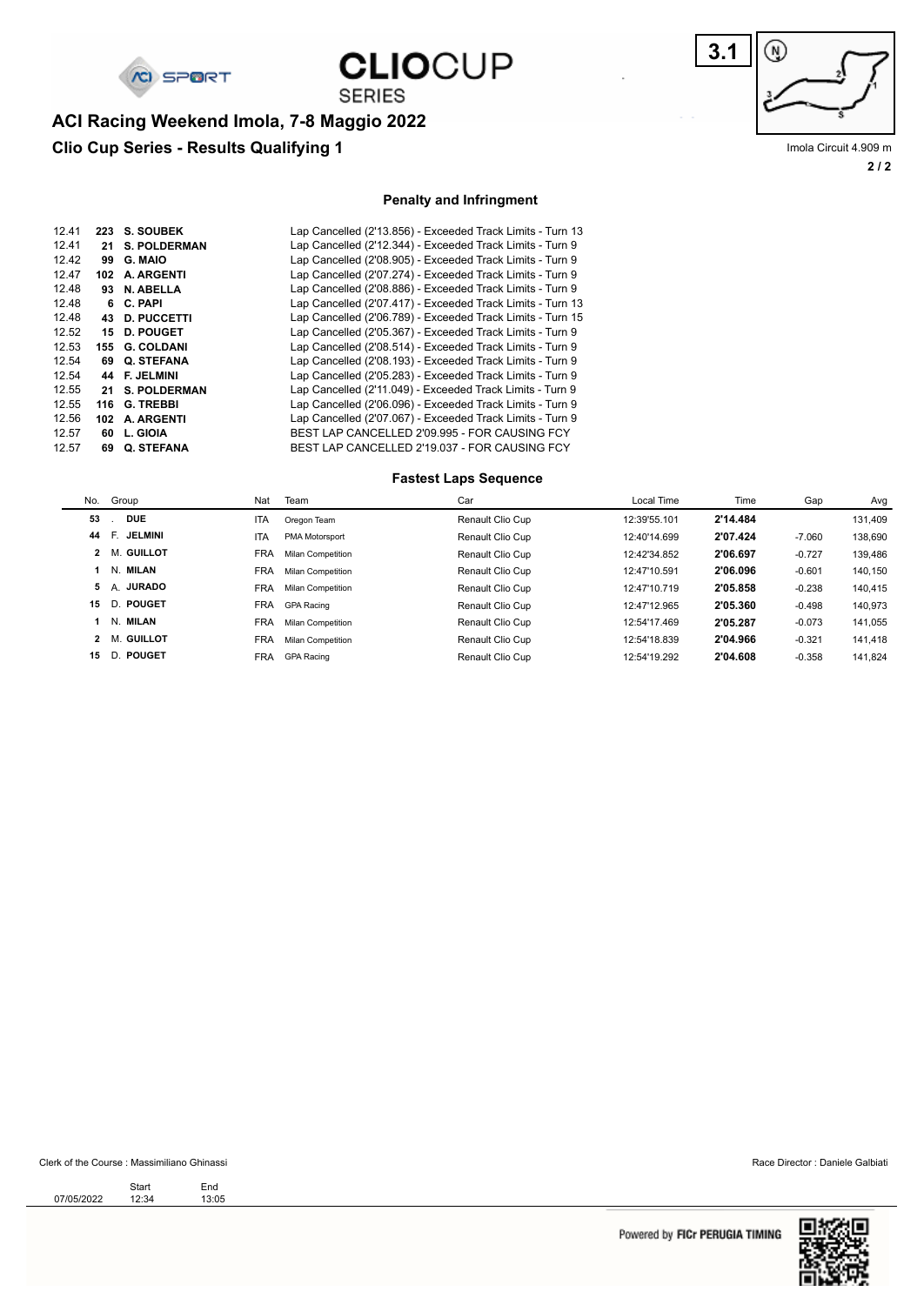

## **CLIOCUP SERIES**

**3.1** ⊛

**2 / 2** Imola Circuit 4.909 m

### **Clio Cup Series - Results Qualifying 1 ACI Racing Weekend Imola, 7-8 Maggio 2022**

#### **Penalty and Infringment**

| 12.41 | 223 | <b>S. SOUBEK</b>    | Lap Cancelled (2'13.856) - Exceeded Track Limits - Turn 13 |
|-------|-----|---------------------|------------------------------------------------------------|
| 12.41 | 21  | <b>S. POLDERMAN</b> | Lap Cancelled (2'12.344) - Exceeded Track Limits - Turn 9  |
| 12.42 | 99  | G. MAIO             | Lap Cancelled (2'08.905) - Exceeded Track Limits - Turn 9  |
| 12.47 | 102 | A. ARGENTI          | Lap Cancelled (2'07.274) - Exceeded Track Limits - Turn 9  |
| 12.48 | 93  | N. ABELLA           | Lap Cancelled (2'08.886) - Exceeded Track Limits - Turn 9  |
| 12.48 | 6.  | C. PAPI             | Lap Cancelled (2'07.417) - Exceeded Track Limits - Turn 13 |
| 12.48 | 43. | <b>D. PUCCETTI</b>  | Lap Cancelled (2'06.789) - Exceeded Track Limits - Turn 15 |
| 12.52 | 15  | <b>D. POUGET</b>    | Lap Cancelled (2'05.367) - Exceeded Track Limits - Turn 9  |
| 12.53 | 155 | <b>G. COLDANI</b>   | Lap Cancelled (2'08.514) - Exceeded Track Limits - Turn 9  |
| 12.54 | 69  | Q. STEFANA          | Lap Cancelled (2'08.193) - Exceeded Track Limits - Turn 9  |
| 12.54 | 44  | <b>F. JELMINI</b>   | Lap Cancelled (2'05.283) - Exceeded Track Limits - Turn 9  |
| 12.55 | 21  | <b>S. POLDERMAN</b> | Lap Cancelled (2'11.049) - Exceeded Track Limits - Turn 9  |
| 12.55 | 116 | <b>G. TREBBI</b>    | Lap Cancelled (2'06.096) - Exceeded Track Limits - Turn 9  |
| 12.56 | 102 | A. ARGENTI          | Lap Cancelled (2'07.067) - Exceeded Track Limits - Turn 9  |
| 12.57 | 60  | L. GIOIA            | BEST LAP CANCELLED 2'09.995 - FOR CAUSING FCY              |
| 12.57 | 69  | <b>Q. STEFANA</b>   | BEST LAP CANCELLED 2'19.037 - FOR CAUSING FCY              |
|       |     |                     |                                                            |

#### **Fastest Laps Sequence**

|    | No. Group            | Nat        | Team                     | Car              | Local Time   | Time     | Gap      | Avg     |
|----|----------------------|------------|--------------------------|------------------|--------------|----------|----------|---------|
| 53 | <b>DUE</b>           | <b>ITA</b> | Oregon Team              | Renault Clio Cup | 12:39'55.101 | 2'14.484 |          | 131,409 |
| 44 | E.<br><b>JELMINI</b> | <b>ITA</b> | PMA Motorsport           | Renault Clio Cup | 12:40'14.699 | 2'07.424 | $-7.060$ | 138,690 |
|    | 2 M. GUILLOT         | <b>FRA</b> | <b>Milan Competition</b> | Renault Clio Cup | 12:42'34.852 | 2'06.697 | $-0.727$ | 139,486 |
|    | 1 N. MILAN           | <b>FRA</b> | <b>Milan Competition</b> | Renault Clio Cup | 12:47'10.591 | 2'06.096 | $-0.601$ | 140,150 |
|    | 5 A. JURADO          | <b>FRA</b> | <b>Milan Competition</b> | Renault Clio Cup | 12:47'10.719 | 2'05.858 | $-0.238$ | 140,415 |
| 15 | D. POUGET            | <b>FRA</b> | <b>GPA Racing</b>        | Renault Clio Cup | 12:47'12.965 | 2'05.360 | $-0.498$ | 140,973 |
|    | 1 N. MILAN           | <b>FRA</b> | <b>Milan Competition</b> | Renault Clio Cup | 12:54'17.469 | 2'05.287 | $-0.073$ | 141.055 |
|    | 2 M. GUILLOT         | <b>FRA</b> | <b>Milan Competition</b> | Renault Clio Cup | 12:54'18.839 | 2'04.966 | $-0.321$ | 141.418 |
| 15 | D. POUGET            | FRA        | <b>GPA Racing</b>        | Renault Clio Cup | 12:54'19.292 | 2'04.608 | $-0.358$ | 141.824 |
|    |                      |            |                          |                  |              |          |          |         |

#### Clerk of the Course : Massimiliano Ghinassi Race Director : Daniele Galbiati

07/05/2022 12:34 13:05 Start End

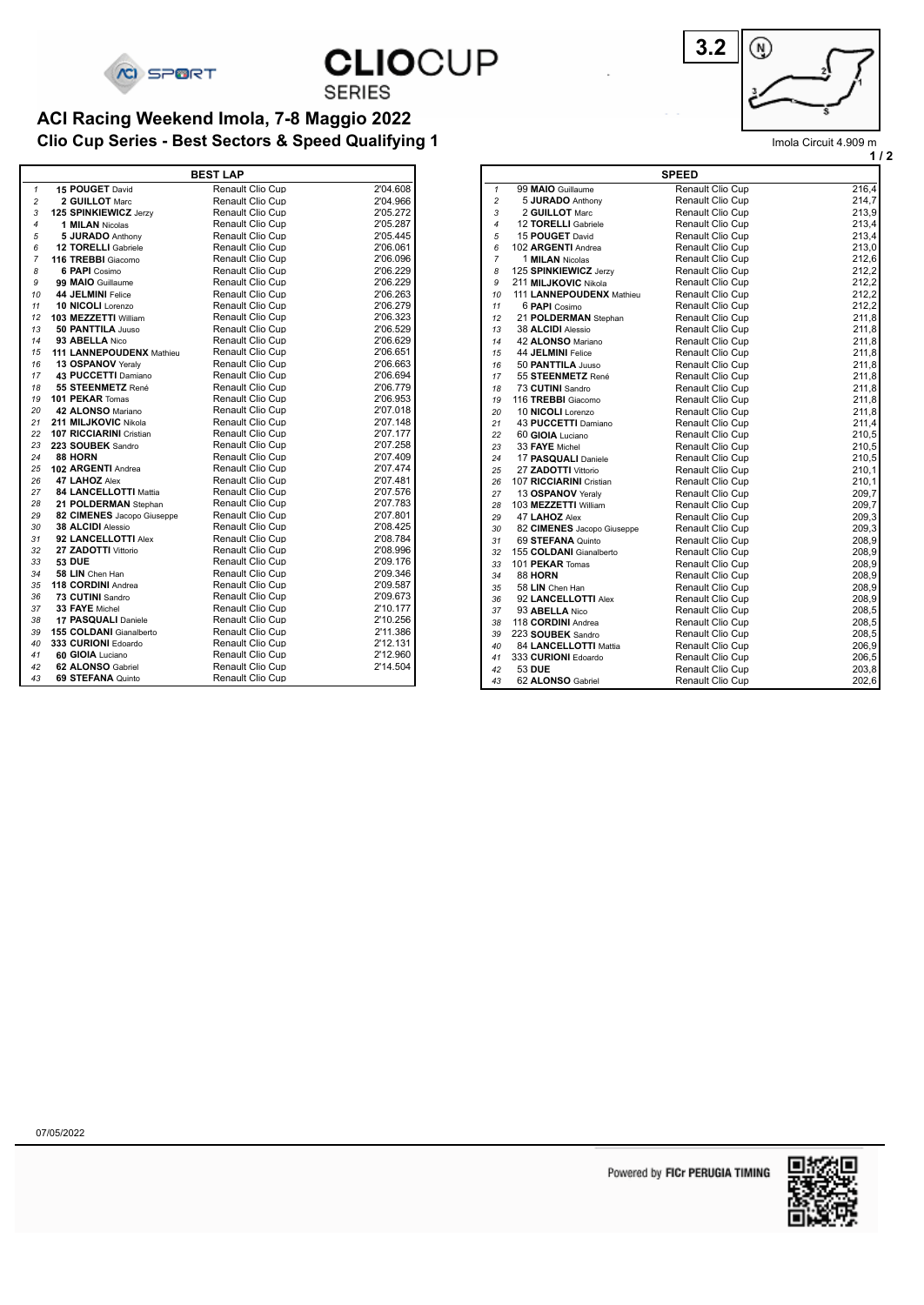

**CLIOCUP** 

**SERIES** 

#### **Clio Cup Series - Best Sectors & Speed Qualifying 1** Improvement and the control of the limple Circuit 4.909 m **ACI Racing Weekend Imola, 7-8 Maggio 2022**

|                |                                 | <b>BEST LAP</b>         |          |
|----------------|---------------------------------|-------------------------|----------|
| $\mathbf{1}$   | 15 POUGET David                 | Renault Clio Cup        | 2'04.608 |
| $\overline{c}$ | 2 GUILLOT Marc                  | Renault Clio Cup        | 2'04.966 |
| 3              | 125 SPINKIEWICZ Jerzy           | <b>Renault Clio Cup</b> | 2'05.272 |
| 4              | <b>1 MILAN Nicolas</b>          | Renault Clio Cup        | 2'05.287 |
| 5              | 5 JURADO Anthony                | <b>Renault Clio Cup</b> | 2'05.445 |
| 6              | <b>12 TORELLI</b> Gabriele      | <b>Renault Clio Cup</b> | 2'06.061 |
| $\overline{7}$ | 116 TREBBI Giacomo              | <b>Renault Clio Cup</b> | 2'06.096 |
| 8              | <b>6 PAPI</b> Cosimo            | <b>Renault Clio Cup</b> | 2'06.229 |
| 9              | 99 MAIO Guillaume               | <b>Renault Clio Cup</b> | 2'06.229 |
| 10             | 44 JELMINI Felice               | <b>Renault Clio Cup</b> | 2'06.263 |
| 11             | 10 NICOLI Lorenzo               | Renault Clio Cup        | 2'06.279 |
| 12             | 103 MEZZETTI William            | <b>Renault Clio Cup</b> | 2'06.323 |
| 13             | 50 PANTTILA Juuso               | <b>Renault Clio Cup</b> | 2'06.529 |
| 14             | 93 ABELLA Nico                  | Renault Clio Cup        | 2'06.629 |
| 15             | <b>111 LANNEPOUDENX Mathieu</b> | <b>Renault Clio Cup</b> | 2'06.651 |
| 16             | 13 OSPANOV Yeraly               | <b>Renault Clio Cup</b> | 2'06.663 |
| 17             | 43 PUCCETTI Damiano             | Renault Clio Cup        | 2'06.694 |
| 18             | 55 STEENMETZ René               | <b>Renault Clio Cup</b> | 2'06.779 |
| 19             | 101 PEKAR Tomas                 | <b>Renault Clio Cup</b> | 2'06.953 |
| 20             | 42 ALONSO Mariano               | Renault Clio Cup        | 2'07.018 |
| 21             | 211 MILJKOVIC Nikola            | <b>Renault Clio Cup</b> | 2'07.148 |
| 22             | 107 RICCIARINI Cristian         | <b>Renault Clio Cup</b> | 2'07.177 |
| 23             | 223 SOUBEK Sandro               | Renault Clio Cup        | 2'07.258 |
| 24             | 88 HORN                         | Renault Clio Cup        | 2'07.409 |
| 25             | 102 ARGENTI Andrea              | <b>Renault Clio Cup</b> | 2'07.474 |
| 26             | 47 LAHOZ Alex                   | Renault Clio Cup        | 2'07.481 |
| 27             | <b>84 LANCELLOTTI Mattia</b>    | Renault Clio Cup        | 2'07.576 |
| 28             | 21 POLDERMAN Stephan            | <b>Renault Clio Cup</b> | 2'07.783 |
| 29             | 82 CIMENES Jacopo Giuseppe      | <b>Renault Clio Cup</b> | 2'07.801 |
| 30             | 38 ALCIDI Alessio               | Renault Clio Cup        | 2'08.425 |
| 31             | 92 LANCELLOTTI Alex             | <b>Renault Clio Cup</b> | 2'08.784 |
| 32             | 27 ZADOTTI Vittorio             | Renault Clio Cup        | 2'08.996 |
| 33             | <b>53 DUE</b>                   | Renault Clio Cup        | 2'09.176 |
| 34             | 58 LIN Chen Han                 | Renault Clio Cup        | 2'09.346 |
| 35             | 118 CORDINI Andrea              | <b>Renault Clio Cup</b> | 2'09.587 |
| 36             | 73 CUTINI Sandro                | Renault Clio Cup        | 2'09.673 |
| 37             | 33 FAYE Michel                  | Renault Clio Cup        | 2'10.177 |
| 38             | 17 PASQUALI Daniele             | <b>Renault Clio Cup</b> | 2'10.256 |
| 39             | 155 COLDANI Gianalberto         | Renault Clio Cup        | 2'11.386 |
| 40             | 333 CURIONI Edoardo             | Renault Clio Cup        | 2'12.131 |
| 41             | 60 GIOIA Luciano                | <b>Renault Clio Cup</b> | 2'12.960 |
| 42             | 62 ALONSO Gabriel               | Renault Clio Cup        | 2'14.504 |
| 43             | 69 STEFANA Quinto               | <b>Renault Clio Cup</b> |          |

| 3.2 | ۰Ŋ. |
|-----|-----|
|     |     |

**1 mola Circuit 4.909 m** 

|                |                            | <b>SPEED</b>            |       |
|----------------|----------------------------|-------------------------|-------|
| 1              | 99 MAIO Guillaume          | Renault Clio Cup        | 216,4 |
| $\overline{c}$ | 5 JURADO Anthony           | Renault Clio Cup        | 214,7 |
| 3              | 2 GUILLOT Marc             | Renault Clio Cup        | 213,9 |
| 4              | 12 TORELLI Gabriele        | Renault Clio Cup        | 213,4 |
| 5              | 15 POUGET David            | Renault Clio Cup        | 213,4 |
| 6              | 102 ARGENTI Andrea         | Renault Clio Cup        | 213,0 |
| 7              | 1 <b>MILAN</b> Nicolas     | Renault Clio Cup        | 212,6 |
| 8              | 125 SPINKIEWICZ Jerzy      | <b>Renault Clio Cup</b> | 212,2 |
| 9              | 211 MILJKOVIC Nikola       | Renault Clio Cup        | 212,2 |
| 10             | 111 LANNEPOUDENX Mathieu   | Renault Clio Cup        | 212,2 |
| 11             | 6 PAPI Cosimo              | Renault Clio Cup        | 212,2 |
| 12             | 21 POLDERMAN Stephan       | Renault Clio Cup        | 211,8 |
| 13             | 38 ALCIDI Alessio          | Renault Clio Cup        | 211,8 |
| 14             | 42 ALONSO Mariano          | Renault Clio Cup        | 211,8 |
| 15             | 44 JELMINI Felice          | Renault Clio Cup        | 211,8 |
| 16             | 50 PANTTILA Juuso          | Renault Clio Cup        | 211,8 |
| 17             | 55 STEENMETZ René          | Renault Clio Cup        | 211,8 |
| 18             | 73 CUTINI Sandro           | Renault Clio Cup        | 211,8 |
| 19             | 116 TREBBI Giacomo         | Renault Clio Cup        | 211,8 |
| 20             | 10 <b>NICOLI</b> Lorenzo   | Renault Clio Cup        | 211,8 |
| 21             | 43 PUCCETTI Damiano        | Renault Clio Cup        | 211,4 |
| 22             | 60 GIOIA Luciano           | Renault Clio Cup        | 210,5 |
| 23             | 33 FAYE Michel             | Renault Clio Cup        | 210,5 |
| 24             | 17 PASQUALI Daniele        | Renault Clio Cup        | 210,5 |
| 25             | 27 ZADOTTI Vittorio        | <b>Renault Clio Cup</b> | 210,1 |
| 26             | 107 RICCIARINI Cristian    | Renault Clio Cup        | 210,1 |
| 27             | 13 OSPANOV Yeraly          | Renault Clio Cup        | 209,7 |
| 28             | 103 MEZZETTI William       | Renault Clio Cup        | 209,7 |
| 29             | 47 LAHOZ Alex              | <b>Renault Clio Cup</b> | 209,3 |
| 30             | 82 CIMENES Jacopo Giuseppe | Renault Clio Cup        | 209,3 |
| 31             | 69 STEFANA Quinto          | Renault Clio Cup        | 208,9 |
| 32             | 155 COLDANI Gianalberto    | <b>Renault Clio Cup</b> | 208,9 |
| 33             | 101 PEKAR Tomas            | Renault Clio Cup        | 208,9 |
| 34             | <b>88 HORN</b>             | Renault Clio Cup        | 208,9 |
| 35             | 58 LIN Chen Han            | Renault Clio Cup        | 208,9 |
| 36             | 92 LANCELLOTTI Alex        | Renault Clio Cup        | 208,9 |
| 37             | 93 ABELLA Nico             | Renault Clio Cup        | 208,5 |
| 38             | 118 CORDINI Andrea         | Renault Clio Cup        | 208,5 |
| 39             | 223 SOUBEK Sandro          | Renault Clio Cup        | 208,5 |
| 40             | 84 LANCELLOTTI Mattia      | Renault Clio Cup        | 206,9 |
| 41             | 333 CURIONI Edoardo        | Renault Clio Cup        | 206,5 |
| 42             | <b>53 DUE</b>              | Renault Clio Cup        | 203,8 |
| 43             | 62 ALONSO Gabriel          | Renault Clio Cup        | 202,6 |
|                |                            |                         |       |

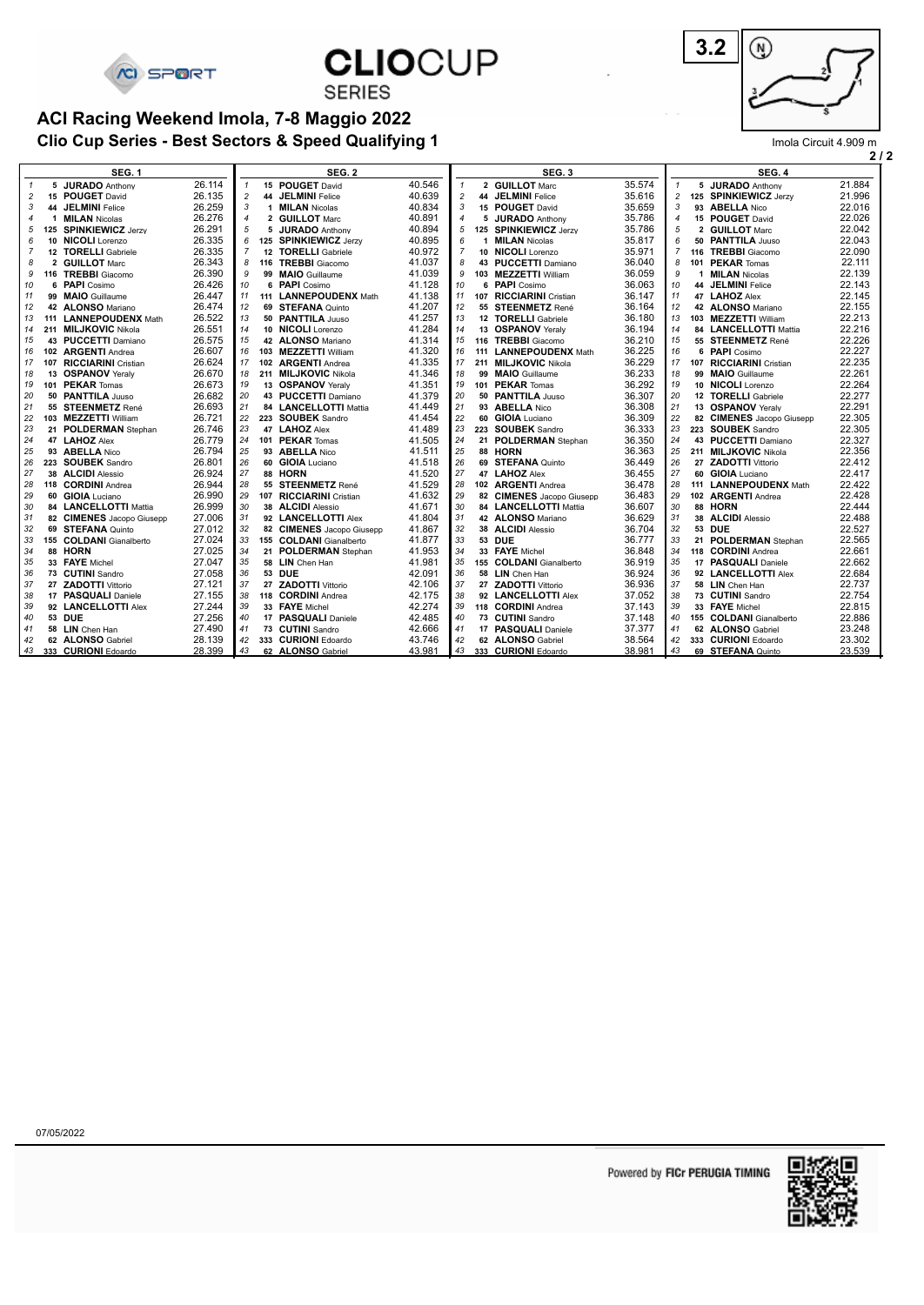

**CLIOCUP** 

**SERIES** 

#### **Clio Cup Series - Best Sectors & Speed Qualifying 1 ACI Racing Weekend Imola, 7-8 Maggio 2022**



**2 / 2** Imola Circuit 4.909 m

|                | 2                       |                            |        |                |  |                           |        |                |  |                           |        |                |  |                                          |        |
|----------------|-------------------------|----------------------------|--------|----------------|--|---------------------------|--------|----------------|--|---------------------------|--------|----------------|--|------------------------------------------|--------|
|                | SEG. 1<br><b>SEG. 2</b> |                            |        |                |  | SEG. 3                    |        |                |  | SEG. 4                    |        |                |  |                                          |        |
| $\mathbf{1}$   |                         | 5 JURADO Anthony           | 26.114 | $\mathbf{1}$   |  | 15 POUGET David           | 40.546 | $\mathbf{1}$   |  | 2 GUILLOT Marc            | 35.574 | $\mathbf{1}$   |  | 5 JURADO Anthony                         | 21.884 |
| $\overline{c}$ |                         | 15 POUGET David            | 26.135 | $\overline{c}$ |  | 44 JELMINI Felice         | 40.639 | $\overline{2}$ |  | 44 JELMINI Felice         | 35.616 | 2              |  | 125 SPINKIEWICZ Jerzy                    | 21.996 |
| 3              |                         | 44 JELMINI Felice          | 26.259 | 3              |  | 1 <b>MILAN</b> Nicolas    | 40.834 | 3              |  | 15 POUGET David           | 35.659 | 3              |  | 93 ABELLA Nico                           | 22.016 |
| $\overline{4}$ | 1                       | <b>MILAN</b> Nicolas       | 26.276 | $\overline{4}$ |  | 2 GUILLOT Marc            | 40.891 | $\overline{4}$ |  | 5 JURADO Anthony          | 35.786 | 4              |  | 15 POUGET David                          | 22.026 |
| 5              |                         | 125 SPINKIEWICZ Jerzy      | 26.291 | 5              |  | 5 JURADO Anthony          | 40.894 | 5              |  | 125 SPINKIEWICZ Jerzy     | 35.786 | 5              |  | 2 GUILLOT Marc                           | 22.042 |
| 6              | 10                      | NICOLI Lorenzo             | 26.335 | 6              |  | 125 SPINKIEWICZ Jerzy     | 40.895 | 6              |  | 1 <b>MILAN</b> Nicolas    | 35.817 | 6              |  | 50 PANTTILA Juuso                        | 22.043 |
| $\overline{7}$ |                         | 12 TORELLI Gabriele        | 26.335 | $\overline{7}$ |  | 12 TORELLI Gabriele       | 40.972 | $\overline{7}$ |  | 10 NICOLI Lorenzo         | 35.971 | $\overline{7}$ |  | 116 TREBBI Giacomo                       | 22.090 |
| 8              | $\overline{2}$          | <b>GUILLOT Marc</b>        | 26.343 | 8              |  | 116 TREBBI Giacomo        | 41.037 | 8              |  | 43 PUCCETTI Damiano       | 36.040 | 8              |  | 101 PEKAR Tomas                          | 22.111 |
| 9              |                         | 116 TREBBI Giacomo         | 26.390 | 9              |  | 99 MAIO Guillaume         | 41.039 | 9              |  | 103 MEZZETTI William      | 36.059 | 9              |  | 1 <b>MILAN</b> Nicolas                   | 22.139 |
| 10             | 6                       | <b>PAPI</b> Cosimo         | 26.426 | 10             |  | 6 PAPI Cosimo             | 41.128 | 10             |  | 6 PAPI Cosimo             | 36.063 | 10             |  | 44 JELMINI Felice                        | 22.143 |
| 11             |                         | 99 MAIO Guillaume          | 26.447 | 11             |  | 111 LANNEPOUDENX Math     | 41.138 | 11             |  | 107 RICCIARINI Cristian   | 36.147 | 11             |  | 47 LAHOZ Alex                            | 22.145 |
| 12             |                         | 42 ALONSO Mariano          | 26.474 | 12             |  | 69 STEFANA Quinto         | 41.207 | 12             |  | 55 STEENMETZ René         | 36.164 | 12             |  | 42 ALONSO Mariano                        | 22.155 |
| 13             | 111                     | <b>LANNEPOUDENX Math</b>   | 26.522 | 13             |  | 50 PANTTILA Juuso         | 41.257 | 13             |  | 12 TORELLI Gabriele       | 36.180 | 13             |  | 103 MEZZETTI William                     | 22.213 |
| 14             |                         | 211 MILJKOVIC Nikola       | 26.551 | 14             |  | 10 NICOLI Lorenzo         | 41.284 | 14             |  | 13 OSPANOV Yeralv         | 36.194 | 14             |  | 84 LANCELLOTTI Mattia                    | 22.216 |
| 15             |                         | 43 PUCCETTI Damiano        | 26.575 | 15             |  | 42 ALONSO Mariano         | 41.314 | 15             |  | 116 TREBBI Giacomo        | 36.210 | 15             |  | 55 STEENMETZ René                        | 22.226 |
| 16             | 102                     | <b>ARGENTI</b> Andrea      | 26.607 | 16             |  | 103 MEZZETTI William      | 41.320 | 16             |  | 111 LANNEPOUDENX Math     | 36.225 | 16             |  | 6 PAPI Cosimo                            | 22.227 |
| 17             | 107                     | <b>RICCIARINI</b> Cristian | 26.624 | 17             |  | 102 ARGENTI Andrea        | 41.335 | 17             |  | 211 MILJKOVIC Nikola      | 36.229 | 17             |  | 107 RICCIARINI Cristian                  | 22.235 |
| 18             |                         | 13 OSPANOV Yeralv          | 26.670 | 18             |  | 211 MILJKOVIC Nikola      | 41.346 | 18             |  | 99 MAIO Guillaume         | 36.233 | 18             |  | 99 MAIO Guillaume                        | 22.261 |
| 19             |                         | 101 PEKAR Tomas            | 26.673 | 19             |  | 13 OSPANOV Yeralv         | 41.351 | 19             |  | 101 PEKAR Tomas           | 36.292 | 19             |  | 10 NICOLI Lorenzo                        | 22.264 |
| 20             |                         | 50 PANTTILA Juuso          | 26.682 | 20             |  | 43 PUCCETTI Damiano       | 41.379 | 20             |  | 50 PANTTILA Juuso         | 36.307 | 20             |  |                                          | 22.277 |
|                |                         | 55 STEENMETZ René          | 26.693 | 21             |  | 84 LANCELLOTTI Mattia     | 41.449 | 21             |  | 93 ABELLA Nico            | 36.308 | 21             |  | 12 TORELLI Gabriele<br>13 OSPANOV Yeralv | 22.291 |
| 21             |                         |                            | 26.721 | 22             |  |                           |        | 22             |  | 60 GIOIA Luciano          | 36.309 |                |  |                                          |        |
| 22             |                         | 103 MEZZETTI William       |        |                |  | 223 SOUBEK Sandro         | 41.454 | 23             |  |                           |        | 22             |  | 82 CIMENES Jacopo Giusepp                | 22.305 |
| 23             |                         | 21 POLDERMAN Stephan       | 26.746 | 23             |  | 47 LAHOZ Alex             | 41.489 |                |  | 223 SOUBEK Sandro         | 36.333 | 23             |  | 223 SOUBEK Sandro                        | 22.305 |
| 24             |                         | 47 LAHOZ Alex              | 26.779 | 24             |  | 101 PEKAR Tomas           | 41.505 | 24             |  | 21 POLDERMAN Stephan      | 36.350 | 24             |  | 43 PUCCETTI Damiano                      | 22.327 |
| 25             |                         | 93 ABELLA Nico             | 26.794 | 25             |  | 93 ABELLA Nico            | 41.511 | 25             |  | 88 HORN                   | 36.363 | 25             |  | 211 MILJKOVIC Nikola                     | 22.356 |
| 26             |                         | 223 SOUBEK Sandro          | 26.801 | 26             |  | 60 GIOIA Luciano          | 41.518 | 26             |  | 69 STEFANA Quinto         | 36.449 | 26             |  | 27 ZADOTTI Vittorio                      | 22.412 |
| 27             |                         | 38 ALCIDI Alessio          | 26.924 | 27             |  | 88 HORN                   | 41.520 | 27             |  | 47 LAHOZ Alex             | 36.455 | 27             |  | 60 GIOIA Luciano                         | 22.417 |
| 28             |                         | 118 CORDINI Andrea         | 26.944 | 28             |  | 55 STEENMETZ René         | 41.529 | 28             |  | 102 ARGENTI Andrea        | 36.478 | 28             |  | 111 LANNEPOUDENX Math                    | 22.422 |
| 29             |                         | 60 GIOIA Luciano           | 26.990 | 29             |  | 107 RICCIARINI Cristian   | 41.632 | 29             |  | 82 CIMENES Jacopo Giusepp | 36.483 | 29             |  | 102 ARGENTI Andrea                       | 22.428 |
| 30             |                         | 84 LANCELLOTTI Mattia      | 26.999 | 30             |  | 38 ALCIDI Alessio         | 41.671 | 30             |  | 84 LANCELLOTTI Mattia     | 36.607 | 30             |  | 88 HORN                                  | 22.444 |
| 31             |                         | 82 CIMENES Jacopo Giusepp  | 27.006 | 31             |  | 92 LANCELLOTTI Alex       | 41.804 | 31             |  | 42 ALONSO Mariano         | 36.629 | 31             |  | 38 ALCIDI Alessio                        | 22.488 |
| 32             |                         | 69 STEFANA Quinto          | 27.012 | 32             |  | 82 CIMENES Jacopo Giusepp | 41.867 | 32             |  | 38 ALCIDI Alessio         | 36.704 | 32             |  | 53 DUE                                   | 22.527 |
| 33             |                         | 155 COLDANI Gianalberto    | 27.024 | 33             |  | 155 COLDANI Gianalberto   | 41.877 | 33             |  | 53 DUE                    | 36.777 | 33             |  | 21 POLDERMAN Stephan                     | 22.565 |
| 34             |                         | 88 HORN                    | 27.025 | 34             |  | 21 POLDERMAN Stephan      | 41.953 | 34             |  | 33 FAYE Michel            | 36.848 | 34             |  | 118 CORDINI Andrea                       | 22.661 |
| 35             |                         | 33 FAYE Michel             | 27.047 | 35             |  | 58 LIN Chen Han           | 41.981 | 35             |  | 155 COLDANI Gianalberto   | 36.919 | 35             |  | 17 PASQUALI Daniele                      | 22.662 |
| 36             |                         | 73 CUTINI Sandro           | 27.058 | 36             |  | 53 DUE                    | 42.091 | 36             |  | 58 LIN Chen Han           | 36.924 | 36             |  | 92 LANCELLOTTI Alex                      | 22.684 |
| 37             |                         | 27 ZADOTTI Vittorio        | 27.121 | 37             |  | 27 ZADOTTI Vittorio       | 42.106 | 37             |  | 27 ZADOTTI Vittorio       | 36.936 | 37             |  | 58 LIN Chen Han                          | 22.737 |
| 38             |                         | 17 PASQUALI Daniele        | 27.155 | 38             |  | 118 CORDINI Andrea        | 42.175 | 38             |  | 92 LANCELLOTTI Alex       | 37.052 | 38             |  | 73 CUTINI Sandro                         | 22.754 |
| 39             |                         | 92 LANCELLOTTI Alex        | 27.244 | 39             |  | 33 FAYE Michel            | 42.274 | 39             |  | 118 CORDINI Andrea        | 37.143 | 39             |  | 33 FAYE Michel                           | 22.815 |
| 40             |                         | 53 DUE                     | 27.256 | 40             |  | 17 PASQUALI Daniele       | 42.485 | 40             |  | 73 CUTINI Sandro          | 37.148 | 40             |  | 155 COLDANI Gianalberto                  | 22.886 |
| 41             |                         | 58 LIN Chen Han            | 27.490 | 41             |  | 73 CUTINI Sandro          | 42.666 | 41             |  | 17 PASQUALI Daniele       | 37.377 | 41             |  | 62 ALONSO Gabriel                        | 23.248 |
| 42             |                         | 62 ALONSO Gabriel          | 28.139 | 42             |  | 333 CURIONI Edoardo       | 43.746 | 42             |  | 62 ALONSO Gabriel         | 38.564 | 42             |  | 333 CURIONI Edoardo                      | 23.302 |
| 43             |                         | 333 CURIONI Edoardo        | 28.399 | 43             |  | 62 ALONSO Gabriel         | 43.981 | 43             |  | 333 CURIONI Edoardo       | 38.981 | 43             |  | 69 STEFANA Quinto                        | 23.539 |
|                |                         |                            |        |                |  |                           |        |                |  |                           |        |                |  |                                          |        |

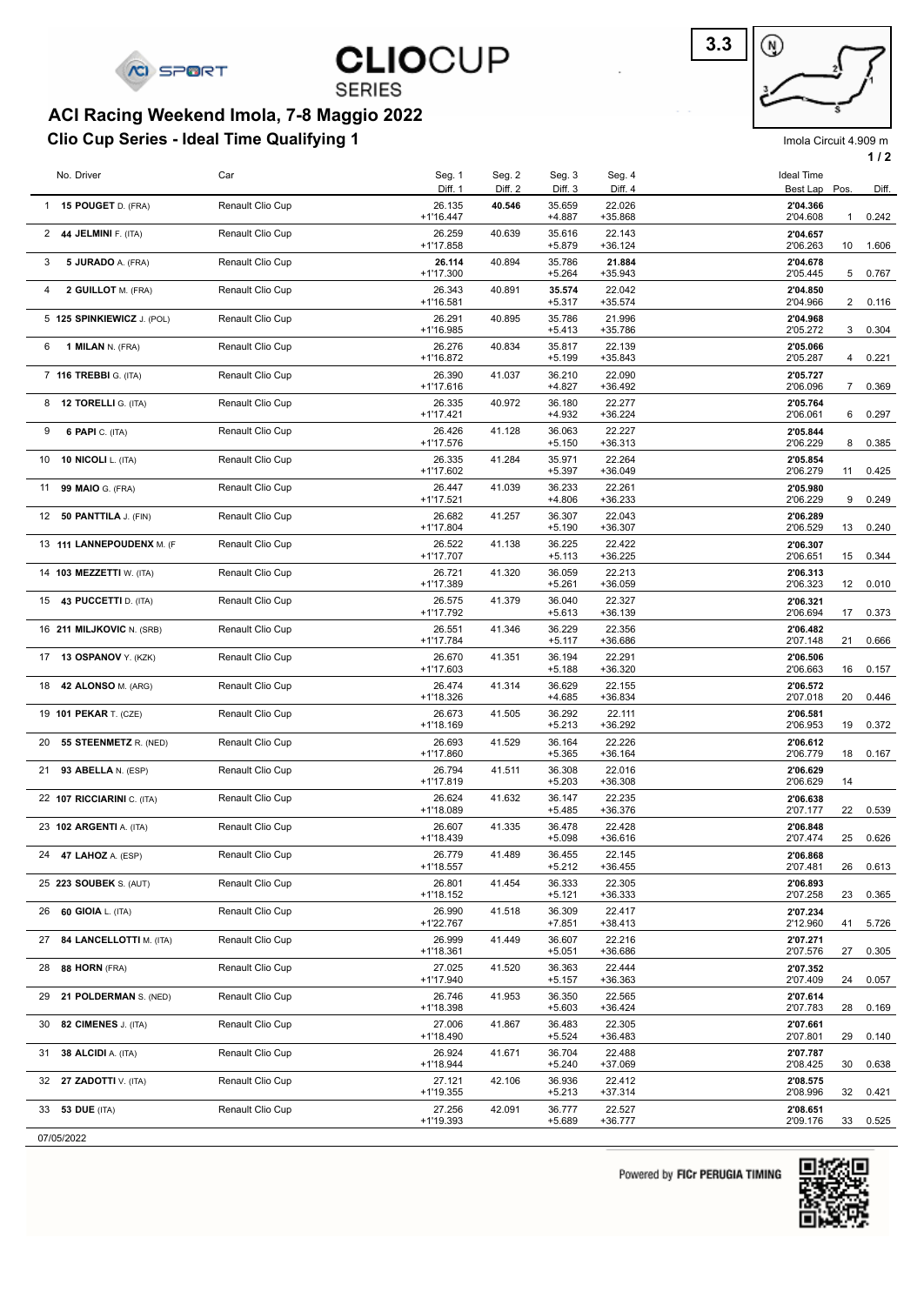

**SERIES** 

### **Clio Cup Series - Ideal Time Qualifying 1 ACI Racing Weekend Imola, 7-8 Maggio 2022**



Imola Circuit 4.909 m **1 / 2**

|    | No. Driver                   | Car              | Seg. 1<br>Diff. 1     | Seg. 2<br>Diff. 2 | Seg. 3<br>Diff. 3  | Seg. 4<br>Diff. 4   | <b>Ideal Time</b><br>Best Lap Pos. |              | Diff. |
|----|------------------------------|------------------|-----------------------|-------------------|--------------------|---------------------|------------------------------------|--------------|-------|
|    | 1 15 POUGET D. (FRA)         | Renault Clio Cup | 26.135                | 40.546            | 35.659             | 22.026              | 2'04.366                           |              |       |
|    | 2 44 JELMINI F. (ITA)        | Renault Clio Cup | $+1'16.447$<br>26.259 | 40.639            | $+4.887$<br>35.616 | +35.868<br>22.143   | 2'04.608<br>2'04.657               | $\mathbf{1}$ | 0.242 |
|    |                              |                  | +1'17.858             |                   | $+5.879$           | $+36.124$           | 2'06.263                           | 10           | 1.606 |
| 3  | 5 JURADO A. (FRA)            | Renault Clio Cup | 26.114<br>+1'17.300   | 40.894            | 35.786<br>$+5.264$ | 21.884<br>$+35.943$ | 2'04.678<br>2'05.445               | 5            | 0.767 |
| 4  | 2 GUILLOT M. (FRA)           | Renault Clio Cup | 26.343<br>+1'16.581   | 40.891            | 35.574<br>$+5.317$ | 22.042<br>$+35.574$ | 2'04.850<br>2'04.966               | 2            | 0.116 |
|    | 5 125 SPINKIEWICZ J. (POL)   | Renault Clio Cup | 26.291<br>+1'16.985   | 40.895            | 35.786<br>$+5.413$ | 21.996<br>+35.786   | 2'04.968<br>2'05.272               | 3            | 0.304 |
| 6  | 1 MILAN N. (FRA)             | Renault Clio Cup | 26.276<br>+1'16.872   | 40.834            | 35.817<br>$+5.199$ | 22.139<br>$+35.843$ | 2'05.066<br>2'05.287               | 4            | 0.221 |
|    | 7 116 TREBBI G. (ITA)        | Renault Clio Cup | 26.390                | 41.037            | 36.210             | 22.090              | 2'05.727                           |              |       |
|    | 8 <b>12 TORELLI</b> G. (ITA) | Renault Clio Cup | $+1'17.616$<br>26.335 | 40.972            | $+4.827$<br>36.180 | $+36.492$<br>22.277 | 2'06.096<br>2'05.764               | 7            | 0.369 |
| 9  | <b>6 PAPI</b> C. (ITA)       | Renault Clio Cup | +1'17.421<br>26.426   | 41.128            | $+4.932$<br>36.063 | $+36.224$<br>22.227 | 2'06.061<br>2'05.844               | 6            | 0.297 |
|    |                              |                  | +1'17.576             |                   | $+5.150$           | $+36.313$           | 2'06.229                           | 8            | 0.385 |
| 10 | <b>10 NICOLI</b> L. (ITA)    | Renault Clio Cup | 26.335<br>+1'17.602   | 41.284            | 35.971<br>$+5.397$ | 22.264<br>$+36.049$ | 2'05.854<br>2'06.279               | 11           | 0.425 |
|    | 11 99 MAIO G. (FRA)          | Renault Clio Cup | 26.447<br>+1'17.521   | 41.039            | 36.233<br>$+4.806$ | 22.261<br>$+36.233$ | 2'05.980<br>2'06.229               | 9            | 0.249 |
| 12 | 50 PANTTILA J. (FIN)         | Renault Clio Cup | 26.682<br>+1'17.804   | 41.257            | 36.307<br>$+5.190$ | 22.043<br>$+36.307$ | 2'06.289<br>2'06.529               | 13           | 0.240 |
|    | 13 111 LANNEPOUDENX M. (F    | Renault Clio Cup | 26.522                | 41.138            | 36.225             | 22.422<br>$+36.225$ | 2'06.307                           |              |       |
|    | 14 103 MEZZETTI W. (ITA)     | Renault Clio Cup | +1'17.707<br>26.721   | 41.320            | $+5.113$<br>36.059 | 22.213              | 2'06.651<br>2'06.313               | 15           | 0.344 |
|    | 15 43 PUCCETTI D. (ITA)      | Renault Clio Cup | +1'17.389<br>26.575   | 41.379            | $+5.261$<br>36.040 | $+36.059$<br>22.327 | 2'06.323<br>2'06.321               | 12           | 0.010 |
|    |                              |                  | +1'17.792             |                   | $+5.613$           | $+36.139$           | 2'06.694                           | 17           | 0.373 |
|    | 16 211 MILJKOVIC N. (SRB)    | Renault Clio Cup | 26.551<br>+1'17.784   | 41.346            | 36.229<br>$+5.117$ | 22.356<br>+36.686   | 2'06.482<br>2'07.148               | 21           | 0.666 |
|    | 17 13 OSPANOV Y. (KZK)       | Renault Clio Cup | 26.670<br>+1'17.603   | 41.351            | 36.194<br>$+5.188$ | 22.291<br>$+36.320$ | 2'06.506<br>2'06.663               | 16           | 0.157 |
| 18 | 42 ALONSO M. (ARG)           | Renault Clio Cup | 26.474<br>+1'18.326   | 41.314            | 36.629<br>+4.685   | 22.155<br>$+36.834$ | 2'06.572<br>2'07.018               | 20           | 0.446 |
|    | 19 101 PEKAR T. (CZE)        | Renault Clio Cup | 26.673<br>+1'18.169   | 41.505            | 36.292<br>$+5.213$ | 22.111<br>$+36.292$ | 2'06.581<br>2'06.953               | 19           | 0.372 |
| 20 | 55 STEENMETZ R. (NED)        | Renault Clio Cup | 26.693                | 41.529            | 36.164             | 22.226              | 2'06.612                           |              |       |
| 21 | 93 ABELLA N. (ESP)           | Renault Clio Cup | +1'17.860<br>26.794   | 41.511            | $+5.365$<br>36.308 | $+36.164$<br>22.016 | 2'06.779<br>2'06.629               | 18           | 0.167 |
|    | 22 107 RICCIARINI C. (ITA)   | Renault Clio Cup | +1'17.819<br>26.624   | 41.632            | $+5.203$<br>36.147 | $+36.308$<br>22.235 | 2'06.629<br>2'06.638               | 14           |       |
|    |                              |                  | +1'18.089             |                   | $+5.485$           | $+36.376$           | 2'07.177                           | 22           | 0.539 |
|    | 23 102 ARGENTI A. (ITA)      | Renault Clio Cup | 26.607<br>+1'18.439   | 41.335            | 36.478<br>$+5.098$ | 22.428<br>$+36.616$ | 2'06.848<br>2'07.474               | 25           | 0.626 |
|    | 24 47 LAHOZ A. (ESP)         | Renault Clio Cup | 26.779<br>+1'18.557   | 41.489            | 36.455<br>$+5.212$ | 22.145<br>$+36.455$ | 2'06.868<br>2'07.481               | 26           | 0.613 |
|    | 25 223 SOUBEK S. (AUT)       | Renault Clio Cup | 26.801<br>+1'18.152   | 41.454            | 36.333<br>$+5.121$ | 22.305<br>$+36.333$ | 2'06.893<br>2'07.258               | 23           | 0.365 |
|    | 26 60 GIOIA L. (ITA)         | Renault Clio Cup | 26.990                | 41.518            | 36.309             | 22.417              | 2'07.234                           |              |       |
| 27 | 84 LANCELLOTTI M. (ITA)      | Renault Clio Cup | +1'22.767<br>26.999   | 41.449            | $+7.851$<br>36.607 | $+38.413$<br>22.216 | 2'12.960<br>2'07.271               | 41           | 5.726 |
|    | 28 88 HORN (FRA)             | Renault Clio Cup | +1'18.361<br>27.025   | 41.520            | $+5.051$<br>36.363 | +36.686<br>22.444   | 2'07.576<br>2'07.352               | 27           | 0.305 |
|    |                              |                  | +1'17.940             |                   | $+5.157$           | $+36.363$           | 2'07.409                           | 24           | 0.057 |
| 29 | 21 POLDERMAN S. (NED)        | Renault Clio Cup | 26.746<br>+1'18.398   | 41.953            | 36.350<br>$+5.603$ | 22.565<br>$+36.424$ | 2'07.614<br>2'07.783               | 28           | 0.169 |
|    | 30 82 CIMENES J. (ITA)       | Renault Clio Cup | 27.006<br>+1'18.490   | 41.867            | 36.483<br>$+5.524$ | 22.305<br>+36.483   | 2'07.661<br>2'07.801               | 29           | 0.140 |
|    | 31 38 ALCIDI A. (ITA)        | Renault Clio Cup | 26.924<br>+1'18.944   | 41.671            | 36.704<br>$+5.240$ | 22.488<br>+37.069   | 2'07.787<br>2'08.425               | 30           | 0.638 |
|    | 32 27 ZADOTTI V. (ITA)       | Renault Clio Cup | 27.121<br>+1'19.355   | 42.106            | 36.936             | 22.412<br>$+37.314$ | 2'08.575<br>2'08.996               | 32           | 0.421 |
|    | 33 53 DUE (ITA)              | Renault Clio Cup | 27.256                | 42.091            | $+5.213$<br>36.777 | 22.527              | 2'08.651                           |              |       |
|    |                              |                  | +1'19.393             |                   | $+5.689$           | $+36.777$           | 2'09.176                           | 33           | 0.525 |

07/05/2022

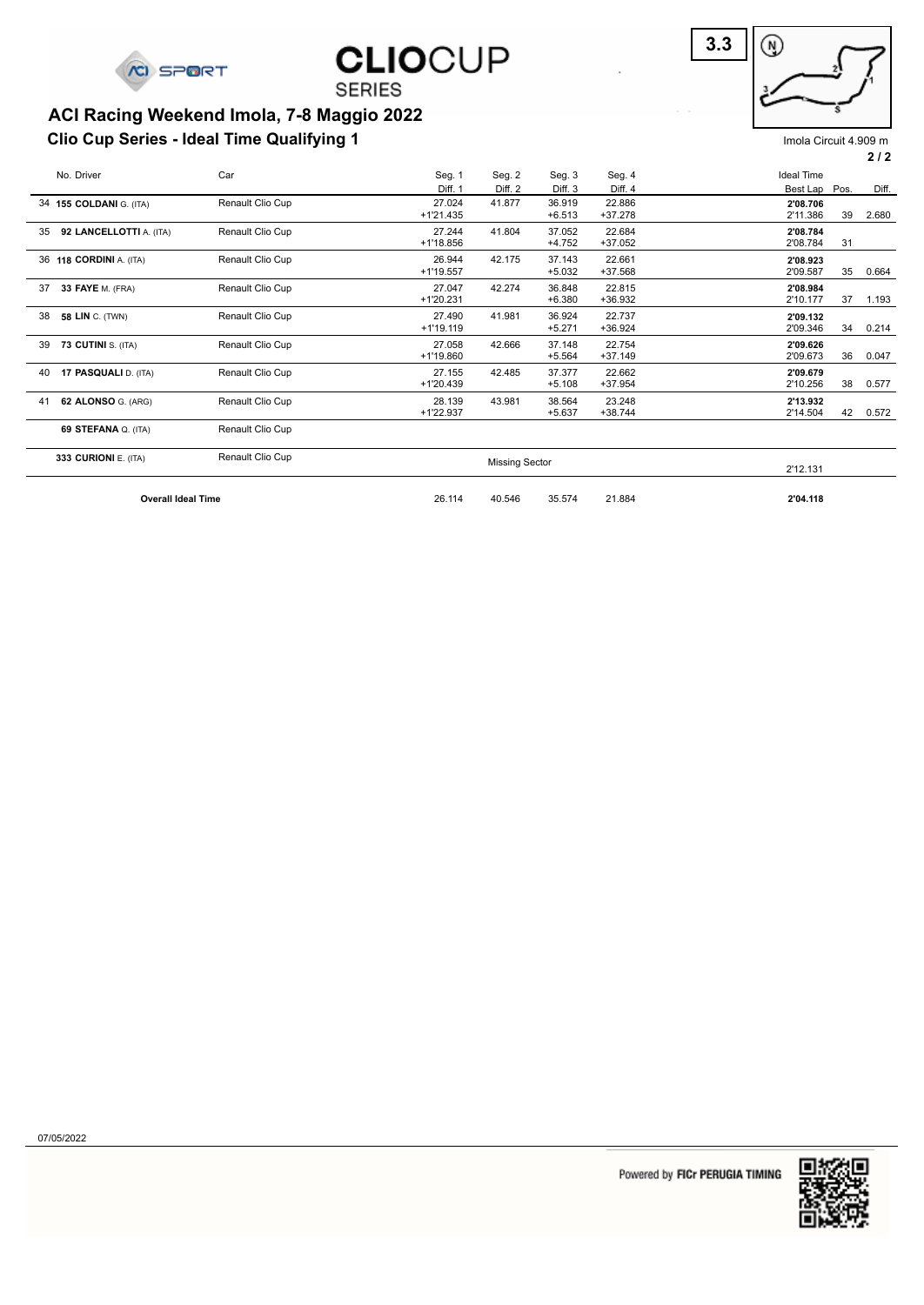

**SERIES** 

### **Clio Cup Series - Ideal Time Qualifying 1 ACI Racing Weekend Imola, 7-8 Maggio 2022**



Imola Circuit 4.909 m

|  | ◠ | , | າ |
|--|---|---|---|
|  |   |   |   |

| No. Driver                    | Car              | Seg. 1                | Seg. 2                | Seg. 3             | Seg. 4              | <b>Ideal Time</b>    |    |       |
|-------------------------------|------------------|-----------------------|-----------------------|--------------------|---------------------|----------------------|----|-------|
|                               |                  | Diff. 1               | Diff. 2               | Diff. 3            | Diff. 4             | Best Lap Pos.        |    | Diff. |
| 34 155 COLDANI G. (ITA)       | Renault Clio Cup | 27.024<br>$+1'21.435$ | 41.877                | 36.919<br>$+6.513$ | 22.886<br>$+37.278$ | 2'08.706<br>2'11.386 | 39 | 2.680 |
| 92 LANCELLOTTI A. (ITA)<br>35 | Renault Clio Cup | 27.244<br>+1'18.856   | 41.804                | 37.052<br>$+4.752$ | 22.684<br>$+37.052$ | 2'08.784<br>2'08.784 | 31 |       |
| 36 118 CORDINI A. (ITA)       | Renault Clio Cup | 26.944<br>$+1'19.557$ | 42.175                | 37.143<br>$+5.032$ | 22.661<br>$+37.568$ | 2'08.923<br>2'09.587 | 35 | 0.664 |
| 37<br>33 FAYE M. (FRA)        | Renault Clio Cup | 27.047<br>$+1'20.231$ | 42.274                | 36.848<br>$+6.380$ | 22.815<br>+36.932   | 2'08.984<br>2'10.177 | 37 | 1.193 |
| 38<br><b>58 LIN</b> C. (TWN)  | Renault Clio Cup | 27.490<br>$+1'19.119$ | 41.981                | 36.924<br>$+5.271$ | 22.737<br>$+36.924$ | 2'09.132<br>2'09.346 | 34 | 0.214 |
| 39<br>73 CUTINI S. (ITA)      | Renault Clio Cup | 27.058<br>+1'19.860   | 42.666                | 37.148<br>$+5.564$ | 22.754<br>$+37.149$ | 2'09.626<br>2'09.673 | 36 | 0.047 |
| 17 PASQUALI D. (ITA)<br>40    | Renault Clio Cup | 27.155<br>$+1'20.439$ | 42.485                | 37.377<br>$+5.108$ | 22.662<br>+37.954   | 2'09.679<br>2'10.256 | 38 | 0.577 |
| 62 ALONSO G. (ARG)<br>41      | Renault Clio Cup | 28.139<br>$+1'22.937$ | 43.981                | 38.564<br>$+5.637$ | 23.248<br>$+38.744$ | 2'13.932<br>2'14.504 | 42 | 0.572 |
| 69 STEFANA Q. (ITA)           | Renault Clio Cup |                       |                       |                    |                     |                      |    |       |
| 333 CURIONI E. (ITA)          | Renault Clio Cup |                       | <b>Missing Sector</b> |                    |                     | 2'12.131             |    |       |
| <b>Overall Ideal Time</b>     | 26.114           | 40.546                | 35.574                | 21.884             | 2'04.118            |                      |    |       |

07/05/2022

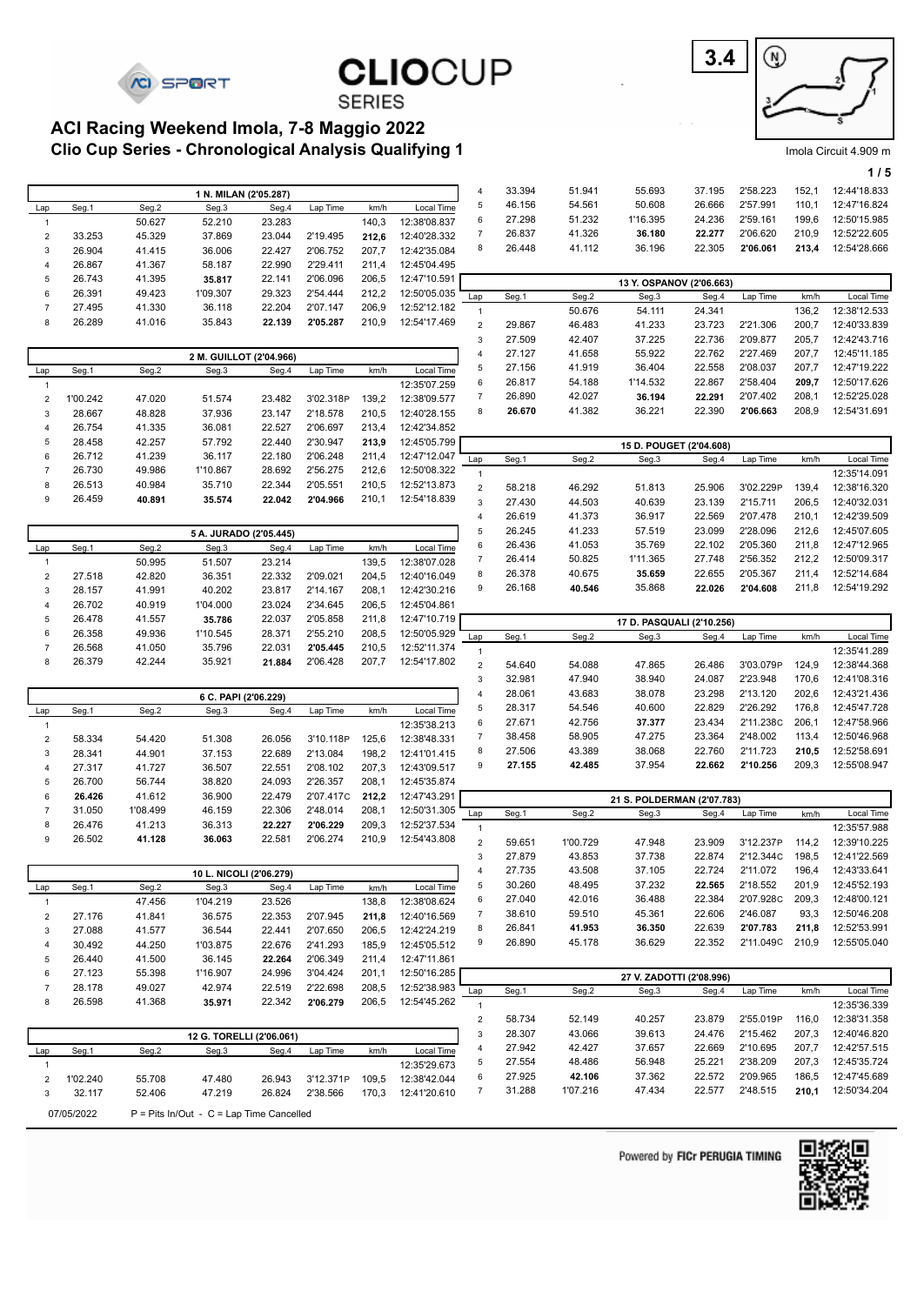

| <b>CLIOCUP</b> |  |
|----------------|--|
| <b>CEDIEC</b>  |  |



Imola Circuit 4.909 m

|  | ເ <del>າ</del> .ອບອ ເເເ |     |
|--|-------------------------|-----|
|  |                         | 1/5 |
|  | 1110000                 |     |

|                                           |  | <b>SERIES</b> |  |
|-------------------------------------------|--|---------------|--|
| ACI Racing Weekend Imola, 7-8 Maggio 2022 |  |               |  |

**Clio Cup Series - Chronological Analysis Qualifying 1**

|                     |          |                  | 1 N. MILAN (2'05.287)    |                  |                      |                |                              | 4                       | 33.394           | 51.941           | 55.693                     | 37.195           | 2'58.223              | 152,1          | 12:44'18.833                 |
|---------------------|----------|------------------|--------------------------|------------------|----------------------|----------------|------------------------------|-------------------------|------------------|------------------|----------------------------|------------------|-----------------------|----------------|------------------------------|
| Lap                 | Seg.1    | Seg.2            | Seg.3                    | Seg.4            | Lap Time             | km/h           | Local Time                   | 5                       | 46.156           | 54.561           | 50.608                     | 26.666           | 2'57.991              | 110,1          | 12:47'16.824                 |
| $\mathbf{1}$        |          | 50.627           | 52.210                   | 23.283           |                      | 140,3          | 12:38'08.837                 | 6                       | 27.298           | 51.232           | 1'16.395                   | 24.236           | 2'59.161              | 199,6          | 12:50'15.985                 |
| $\boldsymbol{2}$    | 33.253   | 45.329           | 37.869                   | 23.044           | 2'19.495             | 212,6          | 12:40'28.332                 | $\overline{7}$          | 26.837           | 41.326           | 36.180                     | 22.277           | 2'06.620              | 210,9          | 12:52'22.605                 |
| 3                   | 26.904   | 41.415           | 36.006                   | 22.427           | 2'06.752             | 207,7          | 12:42'35.084                 | 8                       | 26.448           | 41.112           | 36.196                     | 22.305           | 2'06.061              | 213,4          | 12:54'28.666                 |
| $\overline{4}$      | 26.867   | 41.367           | 58.187                   | 22.990           | 2'29.411             | 211,4          | 12:45'04.495                 |                         |                  |                  |                            |                  |                       |                |                              |
| 5                   | 26.743   | 41.395           | 35.817                   | 22.141           | 2'06.096             | 206,5          | 12:47'10.591                 |                         |                  |                  | 13 Y. OSPANOV (2'06.663)   |                  |                       |                |                              |
| 6                   | 26.391   | 49.423           | 1'09.307                 | 29.323           | 2'54.444             | 212,2          | 12:50'05.035                 | Lap                     | Seg.1            | Seg.2            | Seg.3                      | Seg.4            | Lap Time              | km/h           | Local Time                   |
| $\overline{7}$      | 27.495   | 41.330           | 36.118                   | 22.204           | 2'07.147             | 206,9          | 12:52'12.182                 | $\mathbf{1}$            |                  | 50.676           | 54.111                     | 24.341           |                       | 136,2          | 12:38'12.533                 |
| 8                   | 26.289   | 41.016           | 35.843                   | 22.139           | 2'05.287             | 210,9          | 12:54'17.469                 | $\overline{\mathbf{c}}$ | 29.867           | 46.483           | 41.233                     | 23.723           | 2'21.306              | 200,7          | 12:40'33.839                 |
|                     |          |                  |                          |                  |                      |                |                              | 3                       | 27.509           | 42.407           | 37.225                     | 22.736           | 2'09.877              | 205,7          | 12:42'43.716                 |
|                     |          |                  |                          |                  |                      |                |                              | 4                       | 27.127           | 41.658           | 55.922                     | 22.762           | 2'27.469              | 207,7          | 12:45'11.185                 |
|                     |          |                  | 2 M. GUILLOT (2'04.966)  |                  |                      |                |                              | 5                       | 27.156           | 41.919           | 36.404                     | 22.558           | 2'08.037              | 207,7          | 12:47'19.222                 |
| Lap<br>$\mathbf{1}$ | Seg.1    | Seg.2            | Seg.3                    | Seg.4            | Lap Time             | km/h           | Local Time<br>12:35'07.259   | 6                       | 26.817           | 54.188           | 1'14.532                   | 22.867           | 2'58.404              | 209,7          | 12:50'17.626                 |
| $\sqrt{2}$          | 1'00.242 | 47.020           | 51.574                   | 23.482           | 3'02.318P            | 139,2          | 12:38'09.577                 | $\boldsymbol{7}$        | 26.890           | 42.027           | 36.194                     | 22.291           | 2'07.402              | 208,1          | 12:52'25.028                 |
|                     | 28.667   | 48.828           |                          | 23.147           | 2'18.578             | 210,5          | 12:40'28.155                 | 8                       | 26.670           | 41.382           | 36.221                     | 22.390           | 2'06.663              | 208,9          | 12:54'31.691                 |
| 3<br>$\overline{4}$ | 26.754   | 41.335           | 37.936<br>36.081         | 22.527           | 2'06.697             | 213,4          | 12:42'34.852                 |                         |                  |                  |                            |                  |                       |                |                              |
| 5                   | 28.458   | 42.257           | 57.792                   | 22.440           | 2'30.947             | 213,9          | 12:45'05.799                 |                         |                  |                  |                            |                  |                       |                |                              |
| 6                   | 26.712   | 41.239           | 36.117                   | 22.180           | 2'06.248             | 211,4          | 12:47'12.047                 |                         |                  |                  | 15 D. POUGET (2'04.608)    |                  |                       |                |                              |
| $\overline{7}$      | 26.730   | 49.986           | 1'10.867                 | 28.692           | 2'56.275             | 212,6          | 12:50'08.322                 | Lap                     | Seg.1            | Seg.2            | Seg.3                      | Seg.4            | Lap Time              | km/h           | Local Time                   |
| 8                   | 26.513   | 40.984           | 35.710                   | 22.344           | 2'05.551             | 210,5          | 12:52'13.873                 | $\mathbf{1}$            |                  |                  |                            |                  |                       |                | 12:35'14.091                 |
| 9                   | 26.459   | 40.891           | 35.574                   | 22.042           | 2'04.966             | 210,1          | 12:54'18.839                 | $\sqrt{2}$              | 58.218           | 46.292           | 51.813                     | 25.906           | 3'02.229P             | 139,4          | 12:38'16.320                 |
|                     |          |                  |                          |                  |                      |                |                              | 3                       | 27.430           | 44.503           | 40.639                     | 23.139           | 2'15.711<br>2'07.478  | 206,5          | 12:40'32.031                 |
|                     |          |                  |                          |                  |                      |                |                              | 4<br>5                  | 26.619<br>26.245 | 41.373<br>41.233 | 36.917<br>57.519           | 22.569<br>23.099 | 2'28.096              | 210,1<br>212,6 | 12:42'39.509<br>12:45'07.605 |
|                     |          |                  | 5 A. JURADO (2'05.445)   |                  |                      |                |                              | 6                       | 26.436           | 41.053           | 35.769                     | 22.102           | 2'05.360              | 211,8          | 12:47'12.965                 |
| Lap                 | Seg.1    | Seg.2            | Seg.3                    | Seg.4            | Lap Time             | km/h           | Local Time                   | $\boldsymbol{7}$        | 26.414           | 50.825           | 1'11.365                   | 27.748           | 2'56.352              | 212,2          | 12:50'09.317                 |
| $\mathbf{1}$        |          | 50.995           | 51.507                   | 23.214           |                      | 139,5          | 12:38'07.028                 | 8                       | 26.378           | 40.675           | 35.659                     | 22.655           | 2'05.367              | 211,4          | 12:52'14.684                 |
| $\boldsymbol{2}$    | 27.518   | 42.820           | 36.351                   | 22.332           | 2'09.021             | 204,5          | 12:40'16.049                 | 9                       | 26.168           | 40.546           | 35.868                     | 22.026           | 2'04.608              | 211,8          | 12:54'19.292                 |
| 3                   | 28.157   | 41.991           | 40.202                   | 23.817           | 2'14.167             | 208,1          | 12:42'30.216                 |                         |                  |                  |                            |                  |                       |                |                              |
| $\overline{4}$      | 26.702   | 40.919           | 1'04.000                 | 23.024           | 2'34.645             | 206,5          | 12:45'04.861                 |                         |                  |                  |                            |                  |                       |                |                              |
| 5                   | 26.478   | 41.557           | 35.786                   | 22.037           | 2'05.858             | 211,8          | 12:47'10.719                 |                         |                  |                  | 17 D. PASQUALI (2'10.256)  |                  |                       |                |                              |
| 6<br>$\overline{7}$ | 26.358   | 49.936           | 1'10.545                 | 28.371<br>22.031 | 2'55.210             | 208,5          | 12:50'05.929<br>12:52'11.374 | Lap                     | Seg.1            | Seg.2            | Seg.3                      | Seg.4            | Lap Time              | km/h           | Local Time                   |
| 8                   | 26.568   | 41.050<br>42.244 | 35.796                   | 21.884           | 2'05.445<br>2'06.428 | 210,5<br>207,7 | 12:54'17.802                 | $\mathbf{1}$            |                  |                  |                            |                  |                       |                | 12:35'41.289                 |
|                     | 26.379   |                  | 35.921                   |                  |                      |                |                              | $\mathbf 2$             | 54.640           | 54.088           | 47.865                     | 26.486           | 3'03.079P             | 124,9          | 12:38'44.368                 |
|                     |          |                  |                          |                  |                      |                |                              | 3                       | 32.981           | 47.940           | 38.940                     | 24.087           | 2'23.948              | 170,6          | 12:41'08.316                 |
|                     |          |                  | 6 C. PAPI (2'06.229)     |                  |                      |                |                              | 4                       | 28.061           | 43.683           | 38.078                     | 23.298           | 2'13.120              | 202,6          | 12:43'21.436                 |
| Lap                 | Seg.1    | Seg.2            | Seg.3                    | Seg.4            | Lap Time             | km/h           | Local Time                   | 5                       | 28.317           | 54.546           | 40.600                     | 22.829<br>23.434 | 2'26.292<br>2'11.238C | 176,8          | 12:45'47.728                 |
|                     |          |                  |                          |                  |                      |                | 12:35'38.213                 |                         |                  |                  |                            |                  |                       | 206,1          | 12:47'58.966                 |
| $\mathbf{1}$        |          |                  |                          |                  |                      |                |                              | 6                       | 27.671           | 42.756           | 37.377                     |                  |                       | 113,4          |                              |
| $\boldsymbol{2}$    | 58.334   | 54.420           | 51.308                   | 26.056           | 3'10.118P            | 125,6          | 12:38'48.331                 | $\overline{7}$          | 38.458           | 58.905           | 47.275                     | 23.364           | 2'48.002              |                | 12:50'46.968                 |
| 3                   | 28.341   | 44.901           | 37.153                   | 22.689           | 2'13.084             | 198,2          | 12:41'01.415                 | 8                       | 27.506           | 43.389           | 38.068                     | 22.760           | 2'11.723              | 210,5          | 12:52'58.691                 |
| $\overline{4}$      | 27.317   | 41.727           | 36.507                   | 22.551           | 2'08.102             | 207,3          | 12:43'09.517                 | 9                       | 27.155           | 42.485           | 37.954                     | 22.662           | 2'10.256              | 209,3          | 12:55'08.947                 |
| 5                   | 26.700   | 56.744           | 38.820                   | 24.093           | 2'26.357             | 208,1          | 12:45'35.874                 |                         |                  |                  |                            |                  |                       |                |                              |
| 6                   | 26.426   | 41.612           | 36.900                   | 22.479           | 2'07.417C            | 212,2          | 12:47'43.291                 |                         |                  |                  | 21 S. POLDERMAN (2'07.783) |                  |                       |                |                              |
| $\overline{7}$      | 31.050   | 1'08.499         | 46.159                   | 22.306           | 2'48.014             | 208,1          | 12:50'31.305                 | Lap                     | Seg.1            | Seg.2            | Seg.3                      | Seg.4            | Lap Time              | km/h           | Local Time                   |
| 8                   | 26.476   | 41.213           | 36.313                   | 22.227           | 2'06.229             | 209,3          | 12:52'37.534                 | $\mathbf{1}$            |                  |                  |                            |                  |                       |                | 12:35'57.988                 |
| 9                   | 26.502   | 41.128           | 36.063                   | 22.581           | 2'06.274             | 210,9          | 12:54'43.808                 | $\overline{2}$          | 59.651           | 1'00.729         | 47.948                     | 23.909           | 3'12.237P             | 114,2          | 12:39'10.225                 |
|                     |          |                  |                          |                  |                      |                |                              | 3                       | 27.879           | 43.853           | 37.738                     | 22.874           | 2'12.344C             | 198,5          | 12:41'22.569                 |
|                     |          |                  | 10 L. NICOLI (2'06.279)  |                  |                      |                |                              | $\overline{4}$          | 27.735           | 43.508           | 37.105                     | 22.724           | 2'11.072              | 196,4          | 12:43'33.641                 |
| Lap                 | Seg.1    | Seg.2            | Seg.3                    | Seg.4            | Lap Time             | km/h           | Local Time                   | 5                       | 30.260           | 48.495           | 37.232                     | 22.565           | 2'18.552              | 201,9          | 12:45'52.193                 |
| $\mathbf{1}$        |          | 47.456           | 1'04.219                 | 23.526           |                      | 138,8          | 12:38'08.624                 | 6                       | 27.040           | 42.016           | 36.488                     | 22.384           | 2'07.928C             | 209,3          | 12:48'00.121                 |
| $\boldsymbol{2}$    | 27.176   | 41.841           | 36.575                   | 22.353           | 2'07.945             | 211,8          | 12:40'16.569                 | 7                       | 38.610           | 59.510           | 45.361                     | 22.606           | 2'46.087              | 93,3           | 12:50'46.208                 |
| 3                   | 27.088   | 41.577           | 36.544                   | 22.441           | 2'07.650             | 206,5          | 12:42'24.219                 | 8                       | 26.841           | 41.953           | 36.350                     | 22.639           | 2'07.783              | 211,8          | 12:52'53.991                 |
| $\overline{4}$      | 30.492   | 44.250           | 1'03.875                 | 22.676           | 2'41.293             | 185,9          | 12:45'05.512                 | 9                       | 26.890           | 45.178           | 36.629                     | 22.352           | 2'11.049C             | 210,9          | 12:55'05.040                 |
| 5                   | 26.440   | 41.500           | 36.145                   | 22.264           | 2'06.349             | 211,4          | 12:47'11.861                 |                         |                  |                  |                            |                  |                       |                |                              |
| 6                   | 27.123   | 55.398           | 1'16.907                 | 24.996           | 3'04.424             | 201,1          | 12:50'16.285                 |                         |                  |                  | 27 V. ZADOTTI (2'08.996)   |                  |                       |                |                              |
| $\overline{7}$      | 28.178   | 49.027           | 42.974                   | 22.519           | 2'22.698             | 208,5          | 12:52'38.983                 | Lap                     | Seg.1            | Seg.2            | Seg.3                      | Seg.4            | Lap Time              | km/h           | Local Time                   |
| 8                   | 26.598   | 41.368           | 35.971                   | 22.342           | 2'06.279             | 206,5          | 12:54'45.262                 | $\overline{1}$          |                  |                  |                            |                  |                       |                | 12:35'36.339                 |
|                     |          |                  |                          |                  |                      |                |                              | $\overline{\mathbf{c}}$ | 58.734           | 52.149           | 40.257                     | 23.879           | 2'55.019P             | 116,0          | 12:38'31.358                 |
|                     |          |                  | 12 G. TORELLI (2'06.061) |                  |                      |                |                              | 3                       | 28.307           | 43.066           | 39.613                     | 24.476           | 2'15.462              | 207,3          | 12:40'46.820                 |
| Lap                 | Seg.1    | Seg.2            | Seg.3                    | Seg.4            | Lap Time             | km/h           | Local Time                   | 4                       | 27.942           | 42.427           | 37.657                     | 22.669           | 2'10.695              | 207,7          | 12:42'57.515                 |
| $\mathbf{1}$        |          |                  |                          |                  |                      |                | 12:35'29.673                 | 5                       | 27.554           | 48.486           | 56.948                     | 25.221           | 2'38.209              | 207,3          | 12:45'35.724                 |
| $\sqrt{2}$          | 1'02.240 | 55.708           | 47.480                   | 26.943           | 3'12.371P            | 109,5          | 12:38'42.044                 | 6                       | 27.925           | 42.106           | 37.362                     | 22.572           | 2'09.965              | 186,5          | 12:47'45.689                 |
| 3                   | 32.117   | 52.406           | 47.219                   | 26.824           | 2'38.566             | 170,3          | 12:41'20.610                 | 7                       | 31.288           | 1'07.216         | 47.434                     | 22.577           | 2'48.515              | 210,1          | 12:50'34.204                 |

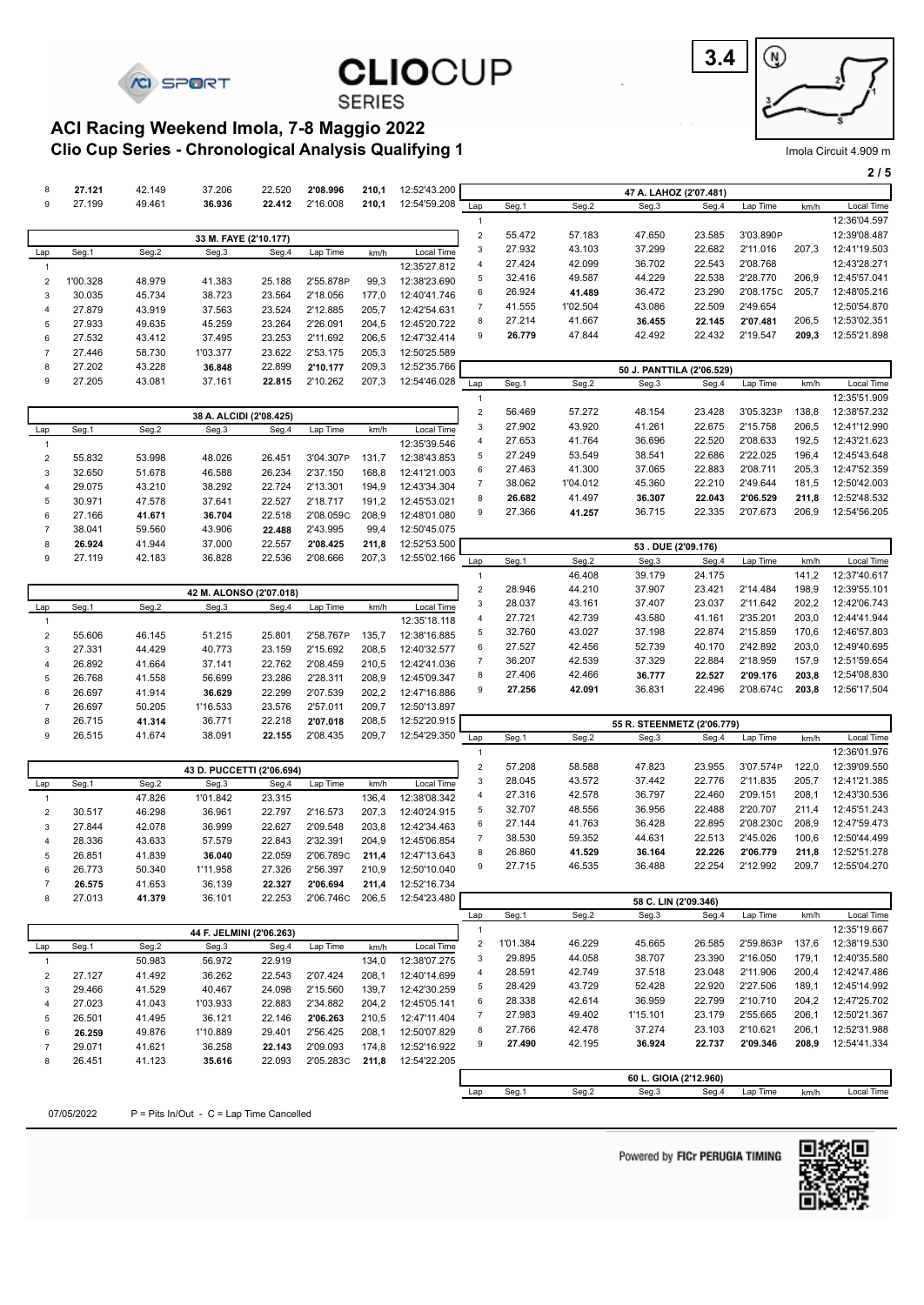





#### **SERIES**

#### **Clio Cup Series - Chronological Analysis Qualifying 1 ACI Racing Weekend Imola, 7-8 Maggio 2022**

|                         |                  |                  |                                          |                  |                       |                |                              |                                         |                    |                  |                            |                  |                       |                | 2/5                          |
|-------------------------|------------------|------------------|------------------------------------------|------------------|-----------------------|----------------|------------------------------|-----------------------------------------|--------------------|------------------|----------------------------|------------------|-----------------------|----------------|------------------------------|
| 8                       | 27.121           | 42.149           | 37.206                                   | 22.520           | 2'08.996              | 210,1          | 12:52'43.200                 |                                         |                    |                  | 47 A. LAHOZ (2'07.481)     |                  |                       |                |                              |
| 9                       | 27.199           | 49.461           | 36.936                                   | 22.412           | 2'16.008              | 210,1          | 12:54'59.208                 | Lap                                     | Seg.1              | Seg.2            | Seg.3                      | Seg.4            | Lap Time              | km/h           | Local Time                   |
|                         |                  |                  |                                          |                  |                       |                |                              | $\mathbf{1}$                            |                    |                  |                            |                  |                       |                | 12:36'04.597                 |
|                         |                  |                  | 33 M. FAYE (2'10.177)                    |                  |                       |                |                              | $\mathbf 2$                             | 55.472             | 57.183           | 47.650                     | 23.585           | 3'03.890P             |                | 12:39'08.487                 |
| Lap                     | Seg.1            | Seg.2            | Seg.3                                    | Seg.4            | Lap Time              | km/h           | Local Time                   | $\mathbf{3}$                            | 27.932             | 43.103           | 37.299                     | 22.682           | 2'11.016              | 207,3          | 12:41'19.503                 |
| $\overline{1}$          |                  |                  |                                          |                  |                       |                | 12:35'27.812                 | $\overline{4}$                          | 27.424             | 42.099           | 36.702                     | 22.543           | 2'08.768              |                | 12:43'28.271                 |
| $\overline{\mathbf{c}}$ | 1'00.328         | 48.979           | 41.383                                   | 25.188           | 2'55.878P             | 99,3           | 12:38'23.690                 | 5                                       | 32.416             | 49.587           | 44.229                     | 22.538           | 2'28.770              | 206,9          | 12:45'57.041                 |
| 3                       | 30.035           | 45.734           | 38.723                                   | 23.564           | 2'18.056              | 177,0          | 12:40'41.746                 | 6                                       | 26.924             | 41.489           | 36.472                     | 23.290           | 2'08.175C             | 205,7          | 12:48'05.216                 |
| $\overline{4}$          | 27.879           | 43.919           | 37.563                                   | 23.524           | 2'12.885              | 205,7          | 12:42'54.631                 | $\overline{7}$                          | 41.555             | 1'02.504         | 43.086                     | 22.509           | 2'49.654              |                | 12:50'54.870                 |
| 5                       | 27.933           | 49.635           | 45.259                                   | 23.264           | 2'26.091              | 204,5          | 12:45'20.722                 | 8                                       | 27.214             | 41.667           | 36.455                     | 22.145           | 2'07.481              | 206,5          | 12:53'02.351                 |
| 6                       | 27.532           | 43.412           | 37.495                                   | 23.253           | 2'11.692              | 206,5          | 12:47'32.414                 | 9                                       | 26.779             | 47.844           | 42.492                     | 22.432           | 2'19.547              | 209,3          | 12:55'21.898                 |
| $\overline{7}$          | 27.446           | 58.730           | 1'03.377                                 | 23.622           | 2'53.175              | 205,3          | 12:50'25.589                 |                                         |                    |                  |                            |                  |                       |                |                              |
| 8                       | 27.202           | 43.228           | 36.848                                   | 22.899           | 2'10.177<br>2'10.262  | 209,3          | 12:52'35.766                 |                                         |                    |                  | 50 J. PANTTILA (2'06.529)  |                  |                       |                |                              |
| 9                       | 27.205           | 43.081           | 37.161                                   | 22.815           |                       | 207,3          | 12:54'46.028                 | Lap                                     | Seg.1              | Seg.2            | Seg.3                      | Seg.4            | Lap Time              | km/h           | Local Time                   |
|                         |                  |                  |                                          |                  |                       |                |                              | $\mathbf{1}$                            |                    |                  |                            |                  |                       | 138,8          | 12:35'51.909<br>12:38'57.232 |
|                         |                  |                  | 38 A. ALCIDI (2'08.425)                  |                  |                       |                |                              | $\sqrt{2}$<br>$\ensuremath{\mathsf{3}}$ | 56.469<br>27.902   | 57.272<br>43.920 | 48.154<br>41.261           | 23.428<br>22.675 | 3'05.323P<br>2'15.758 | 206,5          | 12:41'12.990                 |
| Lap                     | Seg.1            | Seg.2            | Seg.3                                    | Seg.4            | Lap Time              | km/h           | Local Time                   | $\overline{4}$                          | 27.653             | 41.764           | 36.696                     | 22.520           | 2'08.633              | 192,5          | 12:43'21.623                 |
| $\overline{1}$          |                  |                  |                                          |                  |                       |                | 12:35'39.546                 | 5                                       | 27.249             | 53.549           | 38.541                     | 22.686           | 2'22.025              | 196,4          | 12:45'43.648                 |
| $\overline{\mathbf{c}}$ | 55.832           | 53.998           | 48.026                                   | 26.451           | 3'04.307P<br>2'37.150 | 131,7          | 12:38'43.853                 | 6                                       | 27.463             | 41.300           | 37.065                     | 22.883           | 2'08.711              | 205,3          | 12:47'52.359                 |
| 3<br>$\overline{4}$     | 32.650<br>29.075 | 51.678<br>43.210 | 46.588<br>38.292                         | 26.234<br>22.724 | 2'13.301              | 168,8<br>194,9 | 12:41'21.003<br>12:43'34.304 | $\overline{7}$                          | 38.062             | 1'04.012         | 45.360                     | 22.210           | 2'49.644              | 181,5          | 12:50'42.003                 |
| 5                       | 30.971           | 47.578           | 37.641                                   | 22.527           | 2'18.717              | 191,2          | 12:45'53.021                 | 8                                       | 26.682             | 41.497           | 36.307                     | 22.043           | 2'06.529              | 211,8          | 12:52'48.532                 |
| 6                       | 27.166           | 41.671           | 36.704                                   | 22.518           | 2'08.059C             | 208,9          | 12:48'01.080                 | 9                                       | 27.366             | 41.257           | 36.715                     | 22.335           | 2'07.673              | 206,9          | 12:54'56.205                 |
| $\overline{7}$          | 38.041           | 59.560           | 43.906                                   | 22.488           | 2'43.995              | 99,4           | 12:50'45.075                 |                                         |                    |                  |                            |                  |                       |                |                              |
| 8                       | 26.924           | 41.944           | 37.000                                   | 22.557           | 2'08.425              | 211,8          | 12:52'53.500                 |                                         |                    |                  | 53. DUE (2'09.176)         |                  |                       |                |                              |
| 9                       | 27.119           | 42.183           | 36.828                                   | 22.536           | 2'08.666              | 207,3          | 12:55'02.166                 | Lap                                     | Seg.1              | Seg.2            | Seg.3                      | Seg.4            | Lap Time              | km/h           | Local Time                   |
|                         |                  |                  |                                          |                  |                       |                |                              | $\mathbf{1}$                            |                    | 46.408           | 39.179                     | 24.175           |                       | 141,2          | 12:37'40.617                 |
|                         |                  |                  | 42 M. ALONSO (2'07.018)                  |                  |                       |                |                              | $\sqrt{2}$                              | 28.946             | 44.210           | 37.907                     | 23.421           | 2'14.484              | 198,9          | 12:39'55.101                 |
| Lap                     | Seg.1            | Seg.2            | Seg.3                                    | Seg.4            | Lap Time              | km/h           | Local Time                   | 3                                       | 28.037             | 43.161           | 37.407                     | 23.037           | 2'11.642              | 202,2          | 12:42'06.743                 |
| $\overline{1}$          |                  |                  |                                          |                  |                       |                | 12:35'18.118                 | $\overline{4}$                          | 27.721             | 42.739           | 43.580                     | 41.161           | 2'35.201              | 203,0          | 12:44'41.944                 |
| $\overline{\mathbf{c}}$ | 55.606           | 46.145           | 51.215                                   | 25.801           | 2'58.767P             | 135,7          | 12:38'16.885                 | 5                                       | 32.760             | 43.027           | 37.198                     | 22.874           | 2'15.859              | 170,6          | 12:46'57.803                 |
| 3                       | 27.331           | 44.429           | 40.773                                   | 23.159           | 2'15.692              | 208,5          | 12:40'32.577                 | 6                                       | 27.527             | 42.456           | 52.739                     | 40.170           | 2'42.892              | 203,0          | 12:49'40.695                 |
| $\overline{4}$          | 26.892           | 41.664           | 37.141                                   | 22.762           | 2'08.459              | 210,5          | 12:42'41.036                 | $\overline{7}$                          | 36.207             | 42.539           | 37.329                     | 22.884           | 2'18.959              | 157,9          | 12:51'59.654                 |
| 5                       | 26.768           | 41.558           | 56.699                                   | 23.286           | 2'28.311              | 208,9          | 12:45'09.347                 | 8                                       | 27.406             | 42.466           | 36.777                     | 22.527           | 2'09.176              | 203,8          | 12:54'08.830                 |
| 6                       | 26.697           | 41.914           | 36.629                                   | 22.299           | 2'07.539              | 202,2          | 12:47'16.886                 | 9                                       | 27.256             | 42.091           | 36.831                     | 22.496           | 2'08.674C             | 203,8          | 12:56'17.504                 |
| $\boldsymbol{7}$        | 26.697           | 50.205           | 1'16.533                                 | 23.576           | 2'57.011              | 209,7          | 12:50'13.897                 |                                         |                    |                  |                            |                  |                       |                |                              |
| 8                       | 26.715           | 41.314           | 36.771                                   | 22.218           | 2'07.018              | 208,5          | 12:52'20.915                 |                                         |                    |                  | 55 R. STEENMETZ (2'06.779) |                  |                       |                |                              |
| 9                       | 26.515           | 41.674           | 38.091                                   | 22.155           | 2'08.435              | 209,7          | 12:54'29.350                 | Lap                                     | Seg.1              | Seg.2            | Seg.3                      | Seg.4            | Lap Time              | km/h           | Local Time                   |
|                         |                  |                  |                                          |                  |                       |                |                              | $\mathbf{1}$                            |                    |                  |                            |                  |                       |                | 12:36'01.976                 |
|                         |                  |                  | 43 D. PUCCETTI (2'06.694)                |                  |                       |                |                              | $\sqrt{2}$                              | 57.208             | 58.588           | 47.823                     | 23.955           | 3'07.574P             | 122,0          | 12:39'09.550                 |
| Lap                     | Seg.1            | Seg.2            | Seg.3                                    | Seg.4            | Lap Time              | km/h           | Local Time                   | 3                                       | 28.045             | 43.572           | 37.442                     | 22.776           | 2'11.835              | 205,7          | 12:41'21.385                 |
| $\overline{1}$          |                  | 47.826           | 1'01.842                                 | 23.315           |                       | 136,4          | 12:38'08.342                 | $\overline{4}$                          | 27.316             | 42.578           | 36.797                     | 22.460           | 2'09.151              | 208,1          | 12:43'30.536                 |
| $\overline{\mathbf{c}}$ | 30.517           | 46.298           | 36.961                                   | 22.797           | 2'16.573              | 207,3          | 12:40'24.915                 | 5                                       | 32.707             | 48.556           | 36.956                     | 22.488           | 2'20.707              | 211,4          | 12:45'51.243                 |
| 3                       | 27.844           | 42.078           | 36.999                                   | 22.627           | 2'09.548              | 203,8          | 12:42'34.463                 | 6                                       | 27.144             | 41.763           | 36.428                     | 22.895           | 2'08.230C             | 208,9          | 12:47'59.473                 |
| $\overline{4}$          | 28.336           | 43.633           | 57.579                                   | 22.843           | 2'32.391              | 204,9          | 12:45'06.854                 | $\overline{7}$<br>8                     | 38.530<br>26.860   | 59.352<br>41.529 | 44.631<br>36.164           | 22.513<br>22.226 | 2'45.026<br>2'06.779  | 100,6<br>211,8 | 12:50'44.499<br>12:52'51.278 |
| 5                       | 26.851           | 41.839           | 36.040                                   | 22.059           | 2'06.789C             | 211,4          | 12:47'13.643                 | 9                                       | 27.715             | 46.535           | 36.488                     | 22.254           | 2'12.992              | 209,7          | 12:55'04.270                 |
| 6                       | 26.773           | 50.340           | 1'11.958                                 | 27.326           | 2'56.397              | 210,9          | 12:50'10.040                 |                                         |                    |                  |                            |                  |                       |                |                              |
| $\overline{7}$<br>8     | 26.575           | 41.653<br>41.379 | 36.139<br>36.101                         | 22.327<br>22.253 | 2'06.694<br>2'06.746C | 211,4<br>206,5 | 12:52'16.734                 |                                         |                    |                  |                            |                  |                       |                |                              |
|                         | 27.013           |                  |                                          |                  |                       |                | 12:54'23.480                 |                                         |                    |                  | 58 C. LIN (2'09.346)       |                  |                       |                |                              |
|                         |                  |                  |                                          |                  |                       |                |                              | Lap                                     | Seg.1              | Seg.2            | Seg.3                      | Seg.4            | Lap Time              | km/h           | Local Time<br>12:35'19.667   |
|                         |                  |                  | 44 F. JELMINI (2'06.263)                 |                  |                       |                |                              | $\mathbf{1}$                            |                    |                  |                            |                  |                       |                |                              |
| Lap                     | Seg.1            | Seg.2            | Seg.3                                    | Seg.4            | Lap Time              | km/h           | Local Time                   | $\overline{\mathbf{c}}$<br>3            | 1'01.384<br>29.895 | 46.229<br>44.058 | 45.665<br>38.707           | 26.585<br>23.390 | 2'59.863P<br>2'16.050 | 137,6<br>179,1 | 12:38'19.530<br>12:40'35.580 |
| $\overline{1}$          |                  | 50.983           | 56.972                                   | 22.919           |                       | 134,0          | 12:38'07.275                 | 4                                       | 28.591             | 42.749           | 37.518                     | 23.048           | 2'11.906              | 200,4          | 12:42'47.486                 |
| $\overline{\mathbf{c}}$ | 27.127           | 41.492           | 36.262                                   | 22.543           | 2'07.424              | 208,1          | 12:40'14.699                 | 5                                       | 28.429             | 43.729           | 52.428                     | 22.920           | 2'27.506              | 189,1          | 12:45'14.992                 |
| 3                       | 29.466           | 41.529           | 40.467                                   | 24.098           | 2'15.560              | 139,7          | 12:42'30.259                 | 6                                       | 28.338             | 42.614           | 36.959                     | 22.799           | 2'10.710              | 204,2          | 12:47'25.702                 |
| 4<br>5                  | 27.023<br>26.501 | 41.043<br>41.495 | 1'03.933<br>36.121                       | 22.883<br>22.146 | 2'34.882<br>2'06.263  | 204,2<br>210,5 | 12:45'05.141<br>12:47'11.404 | $\overline{7}$                          | 27.983             | 49.402           | 1'15.101                   | 23.179           | 2'55.665              | 206,1          | 12:50'21.367                 |
| 6                       | 26.259           | 49.876           | 1'10.889                                 | 29.401           | 2'56.425              | 208,1          | 12:50'07.829                 | 8                                       | 27.766             | 42.478           | 37.274                     | 23.103           | 2'10.621              | 206,1          | 12:52'31.988                 |
| $\boldsymbol{7}$        | 29.071           | 41.621           | 36.258                                   | 22.143           | 2'09.093              | 174,8          | 12:52'16.922                 | 9                                       | 27.490             | 42.195           | 36.924                     | 22.737           | 2'09.346              | 208,9          | 12:54'41.334                 |
| 8                       | 26.451           | 41.123           | 35.616                                   | 22.093           | 2'05.283C             | 211,8          | 12:54'22.205                 |                                         |                    |                  |                            |                  |                       |                |                              |
|                         |                  |                  |                                          |                  |                       |                |                              |                                         |                    |                  | 60 L. GIOIA (2'12.960)     |                  |                       |                |                              |
|                         |                  |                  |                                          |                  |                       |                |                              | Lap                                     | Seg.1              | Seg.2            | Seg.3                      | Seg.4            | Lap Time              | km/h           | Local Time                   |
|                         |                  |                  |                                          |                  |                       |                |                              |                                         |                    |                  |                            |                  |                       |                |                              |
|                         | 07/05/2022       |                  | P = Pits In/Out - C = Lap Time Cancelled |                  |                       |                |                              |                                         |                    |                  |                            |                  |                       |                |                              |

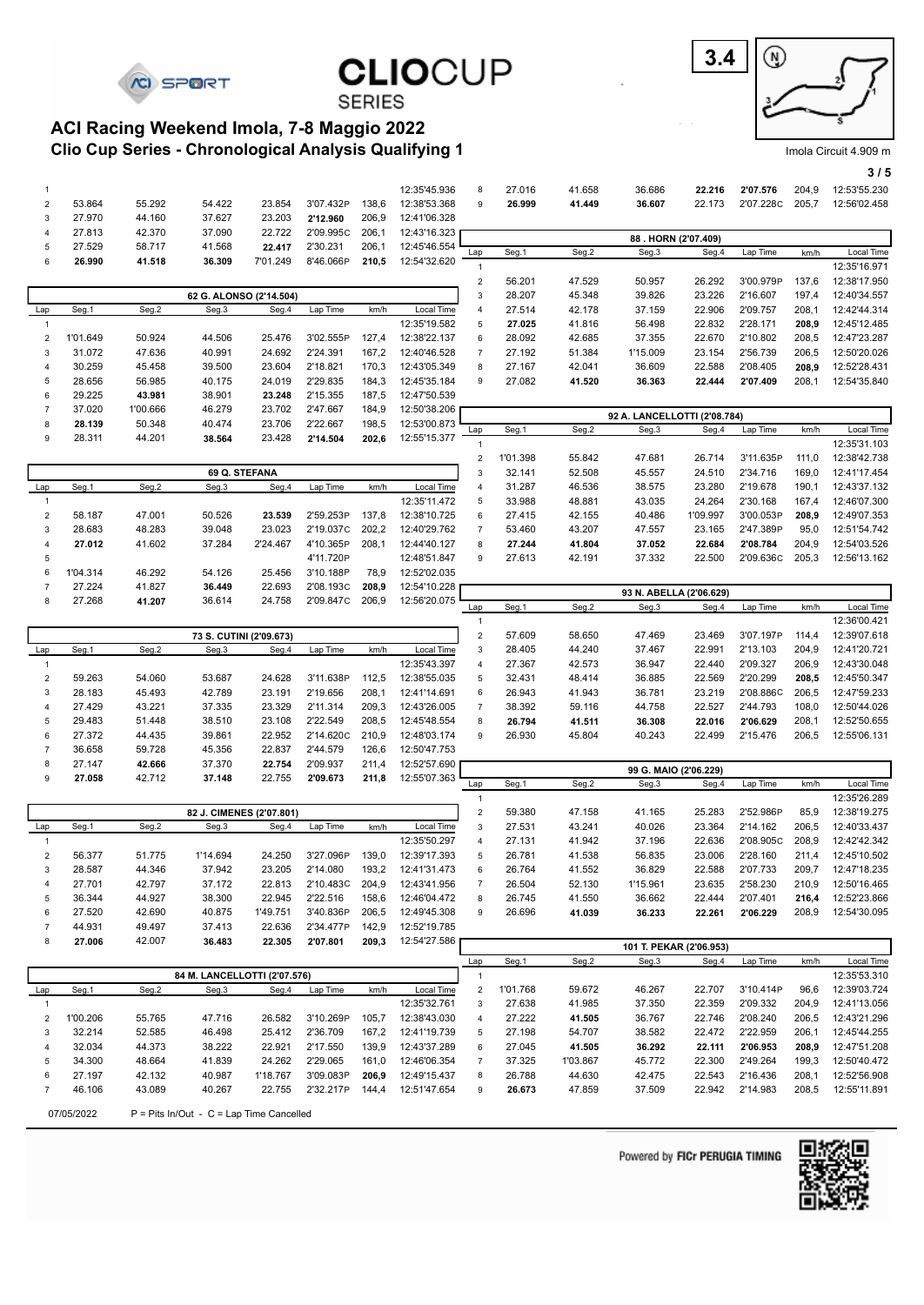

**3.4** ⊛

Imola Circuit 4.909 m

#### **3 / 5**

#### **Clio Cup Series - Chronological Analysis Qualifying 1 ACI Racing Weekend Imola, 7-8 Maggio 2022**

| 1                                       |          |          |                                   |          |           |       | 12:35'45.936               | 8                              | 27.016           | 41.658           | 36.686                       | 22.216                  | 2'07.576             | 204,9          | 12:53'55.230                 |
|-----------------------------------------|----------|----------|-----------------------------------|----------|-----------|-------|----------------------------|--------------------------------|------------------|------------------|------------------------------|-------------------------|----------------------|----------------|------------------------------|
| $\overline{\mathbf{c}}$                 | 53.864   | 55.292   | 54.422                            | 23.854   | 3'07.432P | 138,6 | 12:38'53.368               | 9                              | 26.999           | 41.449           | 36.607                       | 22.173                  | 2'07.228C            | 205,7          | 12:56'02.458                 |
| 3                                       | 27.970   | 44.160   | 37.627                            | 23.203   | 2'12.960  | 206,9 | 12:41'06.328               |                                |                  |                  |                              |                         |                      |                |                              |
| $\overline{4}$                          | 27.813   | 42.370   | 37.090                            | 22.722   | 2'09.995C | 206,1 | 12:43'16.323               |                                |                  |                  |                              |                         |                      |                |                              |
| 5                                       | 27.529   | 58.717   | 41.568                            | 22.417   | 2'30.231  | 206,1 | 12:45'46.554               |                                |                  |                  |                              | 88. HORN (2'07.409)     |                      |                |                              |
| 6                                       | 26.990   | 41.518   | 36.309                            | 7'01.249 | 8'46.066P | 210,5 | 12:54'32.620               | Lap                            | Seg.1            | Seg.2            | Seg.3                        | Seg.4                   | Lap Time             | km/h           | Local Time                   |
|                                         |          |          |                                   |          |           |       |                            | $\mathbf{1}$                   |                  |                  |                              |                         |                      |                | 12:35'16.971                 |
|                                         |          |          |                                   |          |           |       |                            | $\mathbf 2$                    | 56.201           | 47.529           | 50.957                       | 26.292                  | 3'00.979P            | 137,6          | 12:38'17.950                 |
|                                         |          |          | 62 G. ALONSO (2'14.504)           |          |           |       |                            | $\mathbf{3}$<br>$\sqrt{4}$     | 28.207           | 45.348<br>42.178 | 39.826                       | 23.226<br>22.906        | 2'16.607<br>2'09.757 | 197,4<br>208,1 | 12:40'34.557<br>12:42'44.314 |
| Lap<br>$\mathbf{1}$                     | Seg.1    | Seg.2    | Seg.3                             | Seg.4    | Lap Time  | km/h  | Local Time<br>12:35'19.582 | 5                              | 27.514<br>27.025 | 41.816           | 37.159<br>56.498             | 22.832                  | 2'28.171             | 208,9          | 12:45'12.485                 |
| $\overline{\mathbf{c}}$                 | 1'01.649 | 50.924   | 44.506                            | 25.476   | 3'02.555P | 127,4 | 12:38'22.137               | 6                              | 28.092           | 42.685           | 37.355                       | 22.670                  | 2'10.802             | 208,5          | 12:47'23.287                 |
| 3                                       | 31.072   | 47.636   | 40.991                            | 24.692   | 2'24.391  | 167,2 | 12:40'46.528               | $\overline{7}$                 | 27.192           | 51.384           | 1'15.009                     | 23.154                  | 2'56.739             | 206,5          | 12:50'20.026                 |
| 4                                       | 30.259   | 45.458   | 39.500                            | 23.604   | 2'18.821  | 170,3 | 12:43'05.349               | 8                              | 27.167           | 42.041           | 36.609                       | 22.588                  | 2'08.405             | 208,9          | 12:52'28.431                 |
| 5                                       | 28.656   | 56.985   | 40.175                            | 24.019   | 2'29.835  | 184,3 | 12:45'35.184               | 9                              | 27.082           | 41.520           | 36.363                       | 22.444                  | 2'07.409             | 208,1          | 12:54'35.840                 |
| 6                                       | 29.225   | 43.981   | 38.901                            | 23.248   | 2'15.355  | 187,5 | 12:47'50.539               |                                |                  |                  |                              |                         |                      |                |                              |
| $\overline{7}$                          | 37.020   | 1'00.666 | 46.279                            | 23.702   | 2'47.667  | 184,9 | 12:50'38.206               |                                |                  |                  |                              |                         |                      |                |                              |
| 8                                       | 28.139   | 50.348   | 40.474                            | 23.706   | 2'22.667  | 198,5 | 12:53'00.873               |                                |                  |                  | 92 A. LANCELLOTTI (2'08.784) |                         |                      |                |                              |
| 9                                       | 28.311   | 44.201   | 38.564                            | 23.428   | 2'14.504  | 202,6 | 12:55'15.377               | Lap                            | Seg.1            | Seg.2            | Seg.3                        | Seg.4                   | Lap Time             | km/h           | Local Time                   |
|                                         |          |          |                                   |          |           |       |                            | $\overline{1}$                 |                  |                  |                              |                         |                      |                | 12:35'31.103                 |
|                                         |          |          |                                   |          |           |       |                            | $\mathbf 2$                    | 1'01.398         | 55.842           | 47.681                       | 26.714                  | 3'11.635P            | 111,0          | 12:38'42.738                 |
|                                         |          |          | 69 Q. STEFANA                     |          |           |       |                            | 3                              | 32.141           | 52.508           | 45.557                       | 24.510                  | 2'34.716             | 169,0          | 12:41'17.454                 |
| Lap                                     | Seg.1    | Seg.2    | Seg.3                             | Seg.4    | Lap Time  | km/h  | Local Time<br>12:35'11.472 | $\overline{4}$<br>5            | 31.287<br>33.988 | 46.536<br>48.881 | 38.575<br>43.035             | 23.280<br>24.264        | 2'19.678<br>2'30.168 | 190,1<br>167,4 | 12:43'37.132<br>12:46'07.300 |
| $\mathbf{1}$                            | 58.187   | 47.001   | 50.526                            | 23.539   | 2'59.253P | 137,8 | 12:38'10.725               | $\,6\,$                        | 27.415           | 42.155           | 40.486                       | 1'09.997                | 3'00.053P            | 208,9          | 12:49'07.353                 |
| $\overline{\mathbf{c}}$<br>3            | 28.683   | 48.283   | 39.048                            | 23.023   | 2'19.037C | 202,2 | 12:40'29.762               | $\overline{7}$                 | 53.460           | 43.207           | 47.557                       | 23.165                  | 2'47.389P            | 95,0           | 12:51'54.742                 |
| $\overline{4}$                          | 27.012   | 41.602   | 37.284                            | 2'24.467 | 4'10.365P | 208,1 | 12:44'40.127               | 8                              | 27.244           | 41.804           | 37.052                       | 22.684                  | 2'08.784             | 204,9          | 12:54'03.526                 |
| 5                                       |          |          |                                   |          | 4'11.720P |       | 12:48'51.847               | 9                              | 27.613           | 42.191           | 37.332                       | 22.500                  | 2'09.636C            | 205,3          | 12:56'13.162                 |
| 6                                       | 1'04.314 | 46.292   | 54.126                            | 25.456   | 3'10.188P | 78,9  | 12:52'02.035               |                                |                  |                  |                              |                         |                      |                |                              |
| $\overline{7}$                          | 27.224   | 41.827   | 36.449                            | 22.693   | 2'08.193C | 208,9 | 12:54'10.228               |                                |                  |                  |                              |                         |                      |                |                              |
| 8                                       | 27.268   | 41.207   | 36.614                            | 24.758   | 2'09.847C | 206,9 | 12:56'20.075               |                                |                  |                  |                              | 93 N. ABELLA (2'06.629) |                      |                |                              |
|                                         |          |          |                                   |          |           |       |                            | Lap                            | Seg.1            | Seg.2            | Seg.3                        | Seg.4                   | Lap Time             | km/h           | Local Time                   |
|                                         |          |          |                                   |          |           |       |                            | $\mathbf{1}$                   |                  |                  |                              |                         |                      |                | 12:36'00.421                 |
|                                         |          |          | 73 S. CUTINI (2'09.673)           |          |           |       |                            | $\overline{c}$                 | 57.609           | 58.650           | 47.469                       | 23.469                  | 3'07.197P            | 114,4          | 12:39'07.618                 |
| Lap                                     | Seg.1    | Seg.2    | Seg.3                             | Seg.4    | Lap Time  | km/h  | Local Time<br>12:35'43.397 | 3                              | 28.405<br>27.367 | 44.240           | 37.467<br>36.947             | 22.991<br>22.440        | 2'13.103<br>2'09.327 | 204,9<br>206,9 | 12:41'20.721<br>12:43'30.048 |
| $\mathbf{1}$<br>$\overline{\mathbf{c}}$ | 59.263   | 54.060   | 53.687                            | 24.628   | 3'11.638P | 112,5 | 12:38'55.035               | 4<br>5                         | 32.431           | 42.573<br>48.414 | 36.885                       | 22.569                  | 2'20.299             | 208,5          | 12:45'50.347                 |
| 3                                       | 28.183   | 45.493   | 42.789                            | 23.191   | 2'19.656  | 208,1 | 12:41'14.691               | 6                              | 26.943           | 41.943           | 36.781                       | 23.219                  | 2'08.886C            | 206,5          | 12:47'59.233                 |
| $\overline{4}$                          | 27.429   | 43.221   | 37.335                            | 23.329   | 2'11.314  | 209,3 | 12:43'26.005               | $\overline{7}$                 | 38.392           | 59.116           | 44.758                       | 22.527                  | 2'44.793             | 108,0          | 12:50'44.026                 |
| 5                                       | 29.483   | 51.448   | 38.510                            | 23.108   | 2'22.549  | 208,5 | 12:45'48.554               | 8                              | 26.794           | 41.511           | 36.308                       | 22.016                  | 2'06.629             | 208,1          | 12:52'50.655                 |
| 6                                       | 27.372   | 44.435   | 39.861                            | 22.952   | 2'14.620C | 210,9 | 12:48'03.174               | 9                              | 26.930           | 45.804           | 40.243                       | 22.499                  | 2'15.476             | 206,5          | 12:55'06.131                 |
| $\overline{7}$                          | 36.658   | 59.728   | 45.356                            | 22.837   | 2'44.579  | 126,6 | 12:50'47.753               |                                |                  |                  |                              |                         |                      |                |                              |
| 8                                       | 27.147   | 42.666   | 37.370                            | 22.754   | 2'09.937  | 211,4 | 12:52'57.690               |                                |                  |                  |                              |                         |                      |                |                              |
| 9                                       | 27.058   | 42.712   | 37.148                            | 22.755   | 2'09.673  | 211,8 | 12:55'07.363               |                                |                  |                  |                              | 99 G. MAIO (2'06.229)   |                      |                |                              |
|                                         |          |          |                                   |          |           |       |                            | Lap                            | Seg.1            | Seg.2            | Seg.3                        | Seg.4                   | Lap Time             | km/h           | Local Time<br>12:35'26.289   |
|                                         |          |          |                                   |          |           |       |                            | $\mathbf{1}$<br>$\overline{c}$ | 59.380           |                  |                              | 25.283                  | 2'52.986P            | 85,9           | 12:38'19.275                 |
| Lap                                     | Seg.1    | Seg.2    | 82 J. CIMENES (2'07.801)<br>Seg.3 | Seg.4    | Lap Time  | km/h  | Local Time                 | 3                              | 27.531           | 47.158<br>43.241 | 41.165<br>40.026             | 23.364                  | 2'14.162             | 206,5          | 12:40'33.437                 |
| $\mathbf{1}$                            |          |          |                                   |          |           |       | 12:35'50.297               | $\overline{4}$                 | 27.131           | 41.942           | 37.196                       | 22.636                  | 2'08.905C            | 208,9          | 12:42'42.342                 |
| $\overline{\mathbf{c}}$                 | 56.377   | 51.775   | 1'14.694                          | 24.250   | 3'27.096P | 139,0 | 12:39'17.393               | 5                              | 26.781           | 41.538           | 56.835                       | 23.006                  | 2'28.160             | 211,4          | 12:45'10.502                 |
| 3                                       | 28.587   | 44.346   | 37.942                            | 23.205   | 2'14.080  | 193,2 | 12:41'31.473               | 6                              | 26.764           | 41.552           | 36.829                       | 22.588                  | 2'07.733             | 209,7          | 12:47'18.235                 |
| 4                                       | 27.701   | 42.797   | 37.172                            | 22.813   | 2'10.483C | 204,9 | 12:43'41.956               | $\overline{7}$                 | 26.504           | 52.130           | 1'15.961                     | 23.635                  | 2'58.230             | 210,9          | 12:50'16.465                 |
| 5                                       | 36.344   | 44.927   | 38.300                            | 22.945   | 2'22.516  | 158,6 | 12:46'04.472               | 8                              | 26.745           | 41.550           | 36.662                       | 22.444                  | 2'07.401             | 216,4          | 12:52'23.866                 |
| 6                                       | 27.520   | 42.690   | 40.875                            | 1'49.751 | 3'40.836P | 206,5 | 12:49'45.308               | 9                              | 26.696           | 41.039           | 36.233                       | 22.261                  | 2'06.229             | 208,9          | 12:54'30.095                 |
| $\overline{7}$                          | 44.931   | 49.497   | 37.413                            | 22.636   | 2'34.477P | 142,9 | 12:52'19.785               |                                |                  |                  |                              |                         |                      |                |                              |
| 8                                       | 27.006   | 42.007   | 36.483                            | 22.305   | 2'07.801  | 209,3 | 12:54'27.586               |                                |                  |                  |                              |                         |                      |                |                              |
|                                         |          |          |                                   |          |           |       |                            |                                |                  |                  |                              | 101 T. PEKAR (2'06.953) |                      |                |                              |
|                                         |          |          | 84 M. LANCELLOTTI (2'07.576)      |          |           |       |                            | Lap<br>$\mathbf{1}$            | Seg.1            | Seg.2            | Seg.3                        | Seg.4                   | Lap Time             | km/h           | Local Time<br>12:35'53.310   |
| Lap                                     | Seg.1    | Seg.2    | Seg.3                             | Seg.4    | Lap Time  | km/h  | Local Time                 | $\boldsymbol{2}$               | 1'01.768         | 59.672           | 46.267                       | 22.707                  | 3'10.414P            | 96,6           | 12:39'03.724                 |
| $\mathbf{1}$                            |          |          |                                   |          |           |       | 12:35'32.761               | 3                              | 27.638           | 41.985           | 37.350                       | 22.359                  | 2'09.332             | 204,9          | 12:41'13.056                 |
| $\overline{\mathbf{c}}$                 | 1'00.206 | 55.765   | 47.716                            | 26.582   | 3'10.269P | 105,7 | 12:38'43.030               | 4                              | 27.222           | 41.505           | 36.767                       | 22.746                  | 2'08.240             | 206,5          | 12:43'21.296                 |
| 3                                       | 32.214   | 52.585   | 46.498                            | 25.412   | 2'36.709  | 167,2 | 12:41'19.739               | 5                              | 27.198           | 54.707           | 38.582                       | 22.472                  | 2'22.959             | 206,1          | 12:45'44.255                 |
| 4                                       | 32.034   | 44.373   | 38.222                            | 22.921   | 2'17.550  | 139,9 | 12:43'37.289               | 6                              | 27.045           | 41.505           | 36.292                       | 22.111                  | 2'06.953             | 208,9          | 12:47'51.208                 |
| 5                                       | 34.300   | 48.664   | 41.839                            | 24.262   | 2'29.065  | 161,0 | 12:46'06.354               | $\overline{7}$                 | 37.325           | 1'03.867         | 45.772                       | 22.300                  | 2'49.264             | 199,3          | 12:50'40.472                 |
| 6                                       | 27.197   | 42.132   | 40.987                            | 1'18.767 | 3'09.083P | 206,9 | 12:49'15.437               | 8                              | 26.788           | 44.630           | 42.475                       | 22.543                  | 2'16.436             | 208,1          | 12:52'56.908                 |
| 7                                       | 46.106   | 43.089   | 40.267                            | 22.755   | 2'32.217P | 144,4 | 12:51'47.654               | 9                              | 26.673           | 47.859           | 37.509                       | 22.942                  | 2'14.983             | 208,5          | 12:55'11.891                 |
|                                         |          |          |                                   |          |           |       |                            |                                |                  |                  |                              |                         |                      |                |                              |

**CLIOCUP** 

**SERIES** 

07/05/2022  $P =$  Pits In/Out - C = Lap Time Cancelled

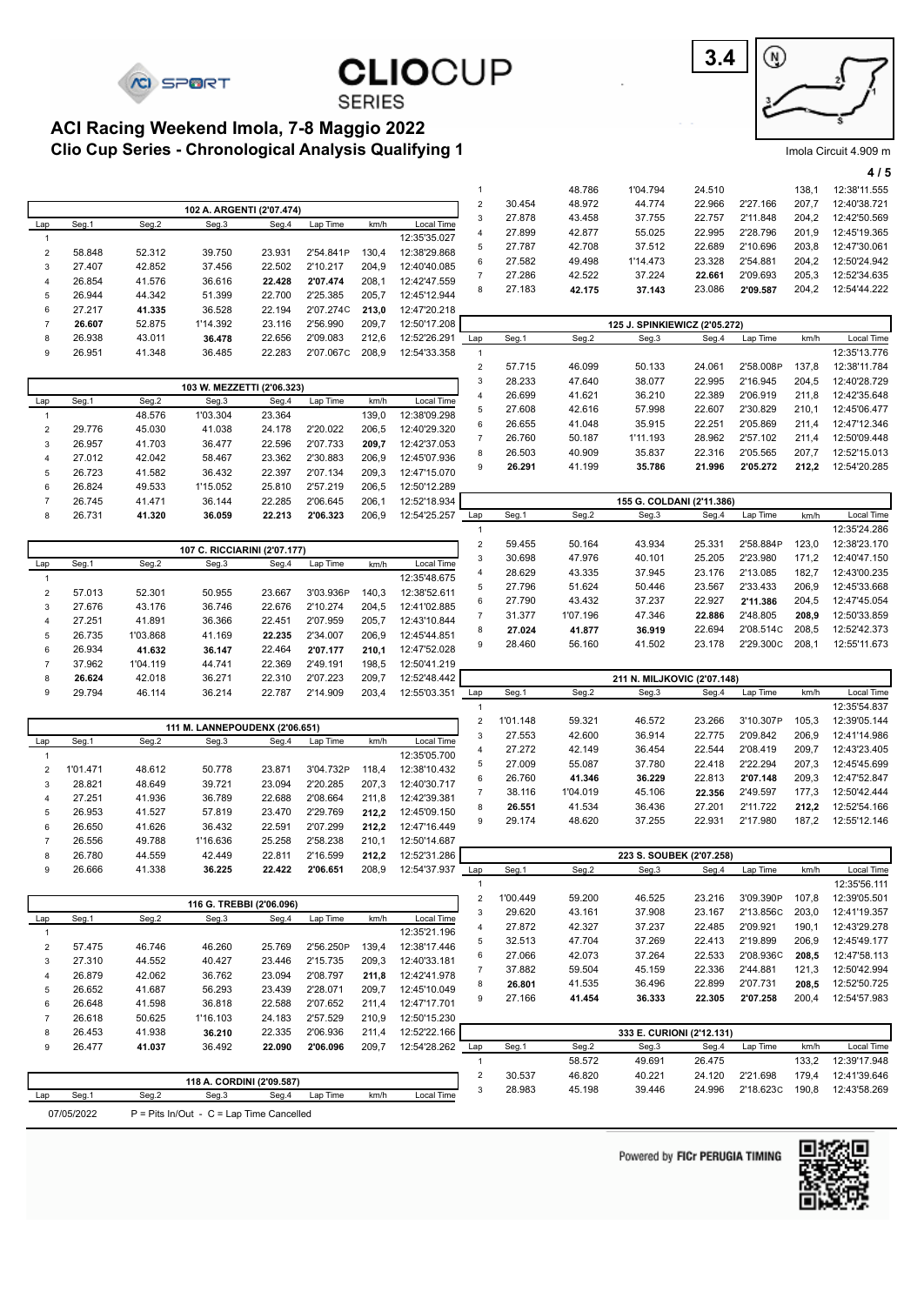**CI SPORT** 

#### **Clio Cup Series - Chronological Analysis Qualifying 1 ACI Racing Weekend Imola, 7-8 Maggio 2022**



Imola Circuit 4.909 m

|                           |                     |          |                                                     |        |           |       |              |                                         |                    |                    |                               |                           |                       |                | 4/5                          |
|---------------------------|---------------------|----------|-----------------------------------------------------|--------|-----------|-------|--------------|-----------------------------------------|--------------------|--------------------|-------------------------------|---------------------------|-----------------------|----------------|------------------------------|
|                           |                     |          |                                                     |        |           |       |              | $\mathbf{1}$                            |                    | 48.786             | 1'04.794                      | 24.510                    |                       | 138,1          | 12:38'11.555                 |
|                           |                     |          | 102 A. ARGENTI (2'07.474)                           |        |           |       |              | $\sqrt{2}$                              | 30.454             | 48.972             | 44.774                        | 22.966                    | 2'27.166              | 207,7          | 12:40'38.721                 |
| Lap                       | Seg.1               | Seg.2    | Seg.3                                               | Seg.4  | Lap Time  | km/h  | Local Time   | $\ensuremath{\mathsf{3}}$               | 27.878             | 43.458             | 37.755                        | 22.757                    | 2'11.848              | 204,2          | 12:42'50.569                 |
| $\mathbf{1}$              |                     |          |                                                     |        |           |       | 12:35'35.027 | $\overline{4}$                          | 27.899             | 42.877             | 55.025                        | 22.995                    | 2'28.796              | 201,9          | 12:45'19.365                 |
| $\sqrt{2}$                | 58.848              | 52.312   | 39.750                                              | 23.931 | 2'54.841P | 130,4 | 12:38'29.868 | 5                                       | 27.787             | 42.708             | 37.512                        | 22.689                    | 2'10.696              | 203,8          | 12:47'30.061                 |
| $\ensuremath{\mathsf{3}}$ | 27.407              | 42.852   | 37.456                                              | 22.502 | 2'10.217  | 204,9 | 12:40'40.085 | 6                                       | 27.582             | 49.498             | 1'14.473                      | 23.328                    | 2'54.881              | 204,2          | 12:50'24.942                 |
| $\overline{4}$            | 26.854              | 41.576   | 36.616                                              | 22.428 | 2'07.474  | 208,1 | 12:42'47.559 | $\overline{7}$                          | 27.286             | 42.522             | 37.224                        | 22.661                    | 2'09.693              | 205,3          | 12:52'34.635                 |
| 5                         | 26.944              | 44.342   | 51.399                                              | 22.700 | 2'25.385  | 205,7 | 12:45'12.944 | 8                                       | 27.183             | 42.175             | 37.143                        | 23.086                    | 2'09.587              | 204,2          | 12:54'44.222                 |
| 6                         | 27.217              | 41.335   | 36.528                                              | 22.194 | 2'07.274C | 213,0 | 12:47'20.218 |                                         |                    |                    |                               |                           |                       |                |                              |
| $\overline{7}$            | 26.607              | 52.875   | 1'14.392                                            | 23.116 | 2'56.990  | 209,7 | 12:50'17.208 |                                         |                    |                    | 125 J. SPINKIEWICZ (2'05.272) |                           |                       |                |                              |
| 8                         | 26.938              | 43.011   | 36.478                                              | 22.656 | 2'09.083  | 212,6 | 12:52'26.291 | Lap                                     | Seg.1              | Seg.2              | Seg.3                         | Seg.4                     | Lap Time              | km/h           | Local Time                   |
| 9                         | 26.951              | 41.348   | 36.485                                              | 22.283 | 2'07.067C | 208,9 | 12:54'33.358 | $\mathbf{1}$                            |                    |                    |                               |                           |                       |                | 12:35'13.776                 |
|                           |                     |          |                                                     |        |           |       |              | $\mathbf 2$                             | 57.715             | 46.099             | 50.133                        | 24.061                    | 2'58.008P             | 137,8          | 12:38'11.784                 |
|                           |                     |          |                                                     |        |           |       |              | $\ensuremath{\mathsf{3}}$               | 28.233             | 47.640             | 38.077                        | 22.995                    | 2'16.945              | 204,5          | 12:40'28.729                 |
| Lap                       | Seg.1               | Seg.2    | 103 W. MEZZETTI (2'06.323)<br>Seg.3                 | Seg.4  | Lap Time  | km/h  | Local Time   | $\overline{4}$                          | 26.699             | 41.621             | 36.210                        | 22.389                    | 2'06.919              | 211,8          | 12:42'35.648                 |
| $\mathbf{1}$              |                     | 48.576   | 1'03.304                                            | 23.364 |           | 139,0 | 12:38'09.298 | 5                                       | 27.608             | 42.616             | 57.998                        | 22.607                    | 2'30.829              | 210,1          | 12:45'06.477                 |
| $\sqrt{2}$                | 29.776              | 45.030   | 41.038                                              | 24.178 | 2'20.022  | 206,5 | 12:40'29.320 | 6                                       | 26.655             | 41.048             | 35.915                        | 22.251                    | 2'05.869              | 211,4          | 12:47'12.346                 |
| 3                         | 26.957              | 41.703   | 36.477                                              | 22.596 | 2'07.733  | 209,7 | 12:42'37.053 | $\overline{7}$                          | 26.760             | 50.187             | 1'11.193                      | 28.962                    | 2'57.102              | 211,4          | 12:50'09.448                 |
| 4                         | 27.012              | 42.042   | 58.467                                              | 23.362 | 2'30.883  | 206,9 | 12:45'07.936 | 8                                       | 26.503             | 40.909             | 35.837                        | 22.316                    | 2'05.565              | 207,7          | 12:52'15.013                 |
| 5                         | 26.723              | 41.582   | 36.432                                              | 22.397 | 2'07.134  | 209,3 | 12:47'15.070 | 9                                       | 26.291             | 41.199             | 35.786                        | 21.996                    | 2'05.272              | 212,2          | 12:54'20.285                 |
| 6                         | 26.824              | 49.533   | 1'15.052                                            | 25.810 | 2'57.219  | 206,5 | 12:50'12.289 |                                         |                    |                    |                               |                           |                       |                |                              |
| $\overline{7}$            | 26.745              | 41.471   | 36.144                                              | 22.285 | 2'06.645  | 206,1 | 12:52'18.934 |                                         |                    |                    |                               | 155 G. COLDANI (2'11.386) |                       |                |                              |
| 8                         | 26.731              | 41.320   | 36.059                                              | 22.213 | 2'06.323  | 206,9 | 12:54'25.257 | Lap                                     | Seg.1              | Seg.2              | Seg.3                         | Seg.4                     | Lap Time              | km/h           | Local Time                   |
|                           |                     |          |                                                     |        |           |       |              | $\mathbf{1}$                            |                    |                    |                               |                           |                       |                | 12:35'24.286                 |
|                           |                     |          | 107 C. RICCIARINI (2'07.177)                        |        |           |       |              | $\mathbf 2$                             | 59.455             | 50.164             | 43.934                        | 25.331                    | 2'58.884P             | 123,0          | 12:38'23.170                 |
| Lap                       | Seg.1               | Seg.2    | Seg.3                                               | Seg.4  | Lap Time  | km/h  | Local Time   | $\ensuremath{\mathsf{3}}$               | 30.698             | 47.976             | 40.101                        | 25.205                    | 2'23.980              | 171,2          | 12:40'47.150                 |
| $\mathbf{1}$              |                     |          |                                                     |        |           |       | 12:35'48.675 | $\overline{4}$                          | 28.629             | 43.335             | 37.945                        | 23.176                    | 2'13.085              | 182,7          | 12:43'00.235                 |
| $\overline{c}$            | 57.013              | 52.301   | 50.955                                              | 23.667 | 3'03.936P | 140,3 | 12:38'52.611 | 5                                       | 27.796             | 51.624             | 50.446                        | 23.567                    | 2'33.433              | 206,9          | 12:45'33.668                 |
| 3                         | 27.676              | 43.176   | 36.746                                              | 22.676 | 2'10.274  | 204,5 | 12:41'02.885 | 6                                       | 27.790             | 43.432             | 37.237                        | 22.927                    | 2'11.386              | 204,5          | 12:47'45.054                 |
| 4                         | 27.251              | 41.891   | 36.366                                              | 22.451 | 2'07.959  | 205,7 | 12:43'10.844 | $\overline{7}$                          | 31.377             | 1'07.196           | 47.346                        | 22.886                    | 2'48.805              | 208,9          | 12:50'33.859                 |
| 5                         | 26.735              | 1'03.868 | 41.169                                              | 22.235 | 2'34.007  | 206,9 | 12:45'44.851 | 8                                       | 27.024             | 41.877             | 36.919                        | 22.694                    | 2'08.514C             | 208,5          | 12:52'42.373                 |
| 6                         | 26.934              | 41.632   | 36.147                                              | 22.464 | 2'07.177  | 210,1 | 12:47'52.028 | 9                                       | 28.460             | 56.160             | 41.502                        | 23.178                    | 2'29.300C             | 208,1          | 12:55'11.673                 |
| $\overline{7}$            | 37.962              | 1'04.119 | 44.741                                              | 22.369 | 2'49.191  | 198,5 | 12:50'41.219 |                                         |                    |                    |                               |                           |                       |                |                              |
| 8                         | 26.624              | 42.018   | 36.271                                              | 22.310 | 2'07.223  | 209,7 | 12:52'48.442 |                                         |                    |                    | 211 N. MILJKOVIC (2'07.148)   |                           |                       |                |                              |
| 9                         | 29.794              | 46.114   | 36.214                                              | 22.787 | 2'14.909  | 203,4 | 12:55'03.351 | Lap                                     | Seg.1              | Seg.2              | Seg.3                         | Seg.4                     | Lap Time              | km/h           | Local Time                   |
|                           |                     |          |                                                     |        |           |       |              | $\mathbf{1}$                            |                    |                    |                               |                           |                       |                | 12:35'54.837                 |
|                           |                     |          | 111 M. LANNEPOUDENX (2'06.651)                      |        |           |       |              | $\mathbf 2$                             | 1'01.148           | 59.321             | 46.572                        | 23.266                    | 3'10.307P             | 105,3          | 12:39'05.144                 |
| Lap                       | Seg.1               | Seg.2    | Seg.3                                               | Seg.4  | Lap Time  | km/h  | Local Time   | $\ensuremath{\mathsf{3}}$               | 27.553             | 42.600             | 36.914                        | 22.775                    | 2'09.842              | 206,9          | 12:41'14.986                 |
| $\mathbf{1}$              |                     |          |                                                     |        |           |       | 12:35'05.700 | $\overline{4}$                          | 27.272             | 42.149             | 36.454                        | 22.544                    | 2'08.419              | 209,7          | 12:43'23.405                 |
| $\overline{2}$            | 1'01.471            | 48.612   | 50.778                                              | 23.871 | 3'04.732P | 118,4 | 12:38'10.432 | 5                                       | 27.009             | 55.087             | 37.780                        | 22.418                    | 2'22.294              | 207,3          | 12:45'45.699<br>12:47'52.847 |
| 3                         | 28.821              | 48.649   | 39.721                                              | 23.094 | 2'20.285  | 207,3 | 12:40'30.717 | 6                                       | 26.760<br>38.116   | 41.346<br>1'04.019 | 36.229                        | 22.813                    | 2'07.148              | 209,3<br>177,3 | 12:50'42.444                 |
| 4                         | 27.251              | 41.936   | 36.789                                              | 22.688 | 2'08.664  | 211,8 | 12:42'39.381 | $\overline{7}$<br>8                     | 26.551             | 41.534             | 45.106<br>36.436              | 22.356<br>27.201          | 2'49.597<br>2'11.722  | 212,2          | 12:52'54.166                 |
| 5                         | 26.953              | 41.527   | 57.819                                              | 23.470 | 2'29.769  | 212,2 | 12:45'09.150 | 9                                       | 29.174             | 48.620             | 37.255                        | 22.931                    | 2'17.980              | 187,2          | 12:55'12.146                 |
| 6                         | 26.650              | 41.626   | 36.432                                              | 22.591 | 2'07.299  | 212,2 | 12:47'16.449 |                                         |                    |                    |                               |                           |                       |                |                              |
| $\overline{7}$            | 26.556              | 49.788   | 1'16.636                                            | 25.258 | 2'58.238  | 210,1 | 12:50'14.687 |                                         |                    |                    |                               |                           |                       |                |                              |
| 8                         | 26.780              | 44.559   | 42.449                                              | 22.811 | 2'16.599  | 212,2 | 12:52'31.286 |                                         |                    |                    |                               | 223 S. SOUBEK (2'07.258)  |                       |                |                              |
| 9                         | 26.666              | 41.338   | 36.225                                              | 22.422 | 2'06.651  | 208,9 | 12:54'37.937 | Lap                                     | Seg.1              | Seg.2              | Seg.3                         | Seg.4                     | Lap Time              | km/h           | Local Time                   |
|                           |                     |          |                                                     |        |           |       |              | $\mathbf{1}$                            |                    |                    | 46.525                        |                           | 3'09.390P             |                | 12:35'56.111                 |
|                           |                     |          | 116 G. TREBBI (2'06.096)                            |        |           |       |              | $\sqrt{2}$<br>3                         | 1'00.449<br>29.620 | 59.200<br>43.161   | 37.908                        | 23.216<br>23.167          | 2'13.856C             | 107,8<br>203,0 | 12:39'05.501<br>12:41'19.357 |
| Lap                       |                     |          |                                                     | Seg.4  | Lap Time  | km/h  | Local Time   | 4                                       | 27.872             | 42.327             | 37.237                        |                           | 2'09.921              |                | 12:43'29.278                 |
|                           | Seg.1               | Seg.2    | Seg.3                                               |        |           |       |              |                                         |                    |                    |                               |                           |                       |                |                              |
| $\mathbf{1}$              |                     |          |                                                     |        |           |       | 12:35'21.196 |                                         |                    |                    |                               | 22.485                    |                       | 190,1          |                              |
| $\sqrt{2}$                | 57.475              | 46.746   | 46.260                                              | 25.769 | 2'56.250P | 139,4 | 12:38'17.446 | 5                                       | 32.513             | 47.704             | 37.269                        | 22.413                    | 2'19.899              | 206,9          | 12:45'49.177                 |
| 3                         | 27.310              | 44.552   | 40.427                                              | 23.446 | 2'15.735  | 209,3 | 12:40'33.181 | 6<br>7                                  | 27.066             | 42.073             | 37.264                        | 22.533                    | 2'08.936C             | 208,5          | 12:47'58.113                 |
| $\overline{4}$            | 26.879              | 42.062   | 36.762                                              | 23.094 | 2'08.797  | 211,8 | 12:42'41.978 | 8                                       | 37.882             | 59.504             | 45.159<br>36.496              | 22.336                    | 2'44.881              | 121,3          | 12:50'42.994                 |
| $\sqrt{5}$                | 26.652              | 41.687   | 56.293                                              | 23.439 | 2'28.071  | 209,7 | 12:45'10.049 | 9                                       | 26.801<br>27.166   | 41.535<br>41.454   | 36.333                        | 22.899<br>22.305          | 2'07.731<br>2'07.258  | 208,5<br>200,4 | 12:52'50.725<br>12:54'57.983 |
| 6                         | 26.648              | 41.598   | 36.818                                              | 22.588 | 2'07.652  | 211,4 | 12:47'17.701 |                                         |                    |                    |                               |                           |                       |                |                              |
| $\overline{7}$            | 26.618              | 50.625   | 1'16.103                                            | 24.183 | 2'57.529  | 210,9 | 12:50'15.230 |                                         |                    |                    |                               |                           |                       |                |                              |
| 8                         | 26.453              | 41.938   | 36.210                                              | 22.335 | 2'06.936  | 211,4 | 12:52'22.166 |                                         |                    |                    |                               | 333 E. CURIONI (2'12.131) |                       |                |                              |
| 9                         | 26.477              | 41.037   | 36.492                                              | 22.090 | 2'06.096  | 209,7 | 12:54'28.262 | Lap                                     | Seg.1              | Seg.2              | Seg.3                         | Seg.4                     | Lap Time              | km/h           | Local Time                   |
|                           |                     |          |                                                     |        |           |       |              | $\mathbf{1}$                            |                    | 58.572             | 49.691                        | 26.475                    |                       | 133,2          | 12:39'17.948                 |
|                           |                     |          | 118 A. CORDINI (2'09.587)                           |        |           |       |              | $\sqrt{2}$<br>$\ensuremath{\mathsf{3}}$ | 30.537<br>28.983   | 46.820<br>45.198   | 40.221<br>39.446              | 24.120<br>24.996          | 2'21.698<br>2'18.623C | 179,4<br>190,8 | 12:41'39.646<br>12:43'58.269 |
| $\mathsf{Lap}$            | Seg.1<br>07/05/2022 | Seg.2    | Seg.3<br>$P =$ Pits In/Out - C = Lap Time Cancelled | Seg.4  | Lap Time  | km/h  | Local Time   |                                         |                    |                    |                               |                           |                       |                |                              |

**CLIOCUP** 

**SERIES** 

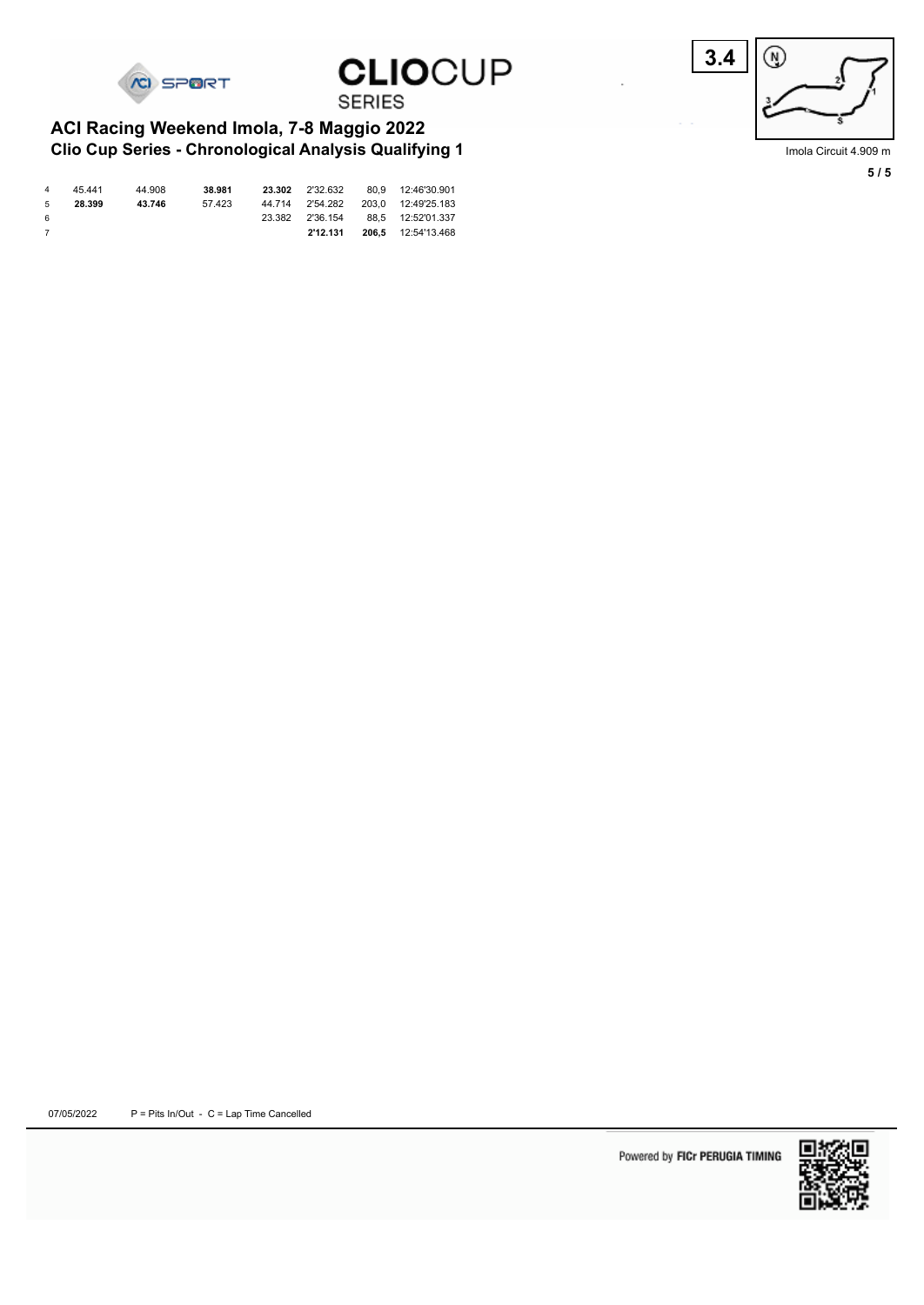

Imola Circuit 4.909 m **5 / 5**

# **CLIOCUP SERIES**

**CI SPORT** 

#### **Clio Cup Series - Chronological Analysis Qualifying 1 ACI Racing Weekend Imola, 7-8 Maggio 2022**

| $\overline{a}$ | 45.441 | 44.908 | 38.981 | 23.302 |          | 2'32.632 80.9 12:46'30.901         |
|----------------|--------|--------|--------|--------|----------|------------------------------------|
| - 5            | 28.399 | 43.746 | 57.423 |        |          | 44.714 2'54.282 203.0 12:49'25.183 |
| - 6            |        |        |        |        |          | 23.382 2'36.154 88.5 12:52'01.337  |
| $\overline{7}$ |        |        |        |        | 2'12.131 | <b>206,5</b> 12:54'13.468          |